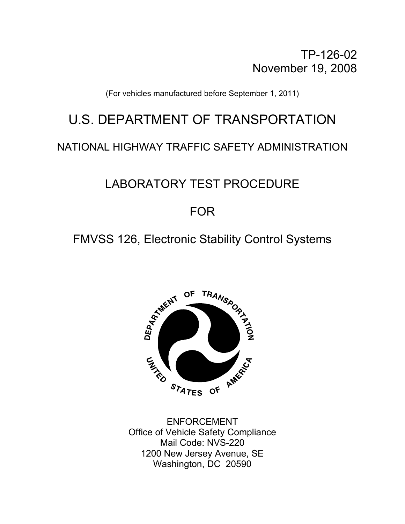TP-126-02 November 19, 2008

(For vehicles manufactured before September 1, 2011)

# U.S. DEPARTMENT OF TRANSPORTATION

# NATIONAL HIGHWAY TRAFFIC SAFETY ADMINISTRATION

# LABORATORY TEST PROCEDURE

# FOR

# FMVSS 126, Electronic Stability Control Systems



 ENFORCEMENT Office of Vehicle Safety Compliance Mail Code: NVS-220 1200 New Jersey Avenue, SE Washington, DC 20590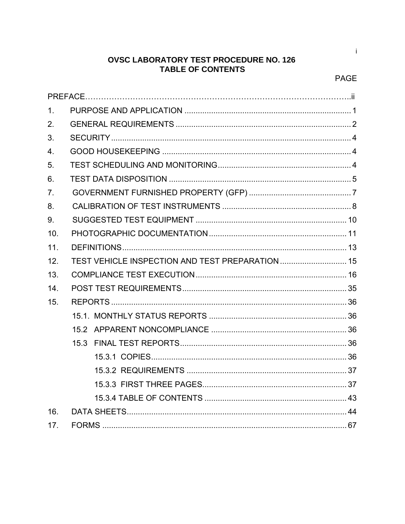# **OVSC LABORATORY TEST PROCEDURE NO. 126 TABLE OF CONTENTS**

 $\mathbf{i}$ 

| 1.               |  |
|------------------|--|
| 2.               |  |
| 3.               |  |
| $\overline{4}$ . |  |
| 5.               |  |
| 6.               |  |
| 7.               |  |
| 8.               |  |
| 9.               |  |
| 10.              |  |
| 11.              |  |
| 12.              |  |
| 13.              |  |
| 14.              |  |
| 15.              |  |
|                  |  |
|                  |  |
|                  |  |
|                  |  |
|                  |  |
|                  |  |
|                  |  |
| 16.              |  |
| 17.              |  |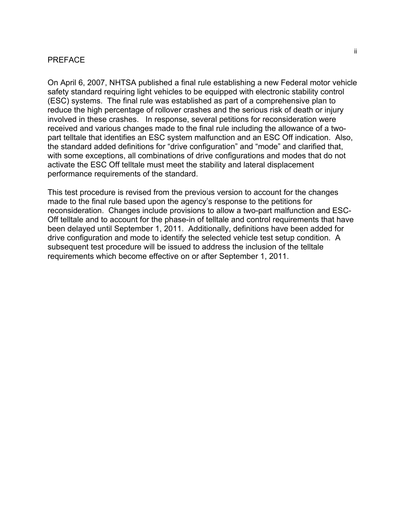## PREFACE

On April 6, 2007, NHTSA published a final rule establishing a new Federal motor vehicle safety standard requiring light vehicles to be equipped with electronic stability control (ESC) systems. The final rule was established as part of a comprehensive plan to reduce the high percentage of rollover crashes and the serious risk of death or injury involved in these crashes. In response, several petitions for reconsideration were received and various changes made to the final rule including the allowance of a twopart telltale that identifies an ESC system malfunction and an ESC Off indication. Also, the standard added definitions for "drive configuration" and "mode" and clarified that, with some exceptions, all combinations of drive configurations and modes that do not activate the ESC Off telltale must meet the stability and lateral displacement performance requirements of the standard.

This test procedure is revised from the previous version to account for the changes made to the final rule based upon the agency's response to the petitions for reconsideration. Changes include provisions to allow a two-part malfunction and ESC-Off telltale and to account for the phase-in of telltale and control requirements that have been delayed until September 1, 2011. Additionally, definitions have been added for drive configuration and mode to identify the selected vehicle test setup condition. A subsequent test procedure will be issued to address the inclusion of the telltale requirements which become effective on or after September 1, 2011.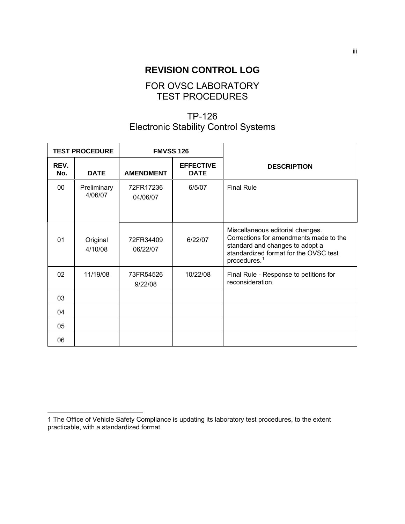# **REVISION CONTROL LOG**

# FOR OVSC LABORATORY TEST PROCEDURES

# TP-126 Electronic Stability Control Systems

| <b>TEST PROCEDURE</b> |                        | <b>FMVSS 126</b>      |                                 |                                                                                                                                                                                    |
|-----------------------|------------------------|-----------------------|---------------------------------|------------------------------------------------------------------------------------------------------------------------------------------------------------------------------------|
| REV.<br>No.           | <b>DATE</b>            | <b>AMENDMENT</b>      | <b>EFFECTIVE</b><br><b>DATE</b> | <b>DESCRIPTION</b>                                                                                                                                                                 |
| 00 <sup>1</sup>       | Preliminary<br>4/06/07 | 72FR17236<br>04/06/07 | 6/5/07                          | <b>Final Rule</b>                                                                                                                                                                  |
| 01                    | Original<br>4/10/08    | 72FR34409<br>06/22/07 | 6/22/07                         | Miscellaneous editorial changes.<br>Corrections for amendments made to the<br>standard and changes to adopt a<br>standardized format for the OVSC test<br>procedures. <sup>1</sup> |
| 02                    | 11/19/08               | 73FR54526<br>9/22/08  | 10/22/08                        | Final Rule - Response to petitions for<br>reconsideration.                                                                                                                         |
| 03                    |                        |                       |                                 |                                                                                                                                                                                    |
| 04                    |                        |                       |                                 |                                                                                                                                                                                    |
| 05                    |                        |                       |                                 |                                                                                                                                                                                    |
| 06                    |                        |                       |                                 |                                                                                                                                                                                    |

l

<span id="page-3-0"></span><sup>1</sup> The Office of Vehicle Safety Compliance is updating its laboratory test procedures, to the extent practicable, with a standardized format.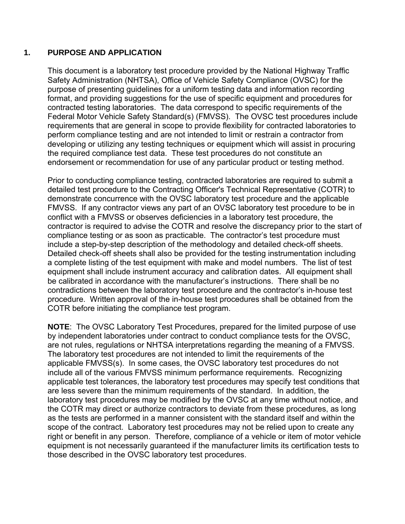# <span id="page-4-0"></span>**1. PURPOSE AND APPLICATION**

This document is a laboratory test procedure provided by the National Highway Traffic Safety Administration (NHTSA), Office of Vehicle Safety Compliance (OVSC) for the purpose of presenting guidelines for a uniform testing data and information recording format, and providing suggestions for the use of specific equipment and procedures for contracted testing laboratories. The data correspond to specific requirements of the Federal Motor Vehicle Safety Standard(s) (FMVSS). The OVSC test procedures include requirements that are general in scope to provide flexibility for contracted laboratories to perform compliance testing and are not intended to limit or restrain a contractor from developing or utilizing any testing techniques or equipment which will assist in procuring the required compliance test data. These test procedures do not constitute an endorsement or recommendation for use of any particular product or testing method.

Prior to conducting compliance testing, contracted laboratories are required to submit a detailed test procedure to the Contracting Officer's Technical Representative (COTR) to demonstrate concurrence with the OVSC laboratory test procedure and the applicable FMVSS. If any contractor views any part of an OVSC laboratory test procedure to be in conflict with a FMVSS or observes deficiencies in a laboratory test procedure, the contractor is required to advise the COTR and resolve the discrepancy prior to the start of compliance testing or as soon as practicable. The contractor's test procedure must include a step-by-step description of the methodology and detailed check-off sheets. Detailed check-off sheets shall also be provided for the testing instrumentation including a complete listing of the test equipment with make and model numbers. The list of test equipment shall include instrument accuracy and calibration dates. All equipment shall be calibrated in accordance with the manufacturer's instructions. There shall be no contradictions between the laboratory test procedure and the contractor's in-house test procedure. Written approval of the in-house test procedures shall be obtained from the COTR before initiating the compliance test program.

**NOTE**: The OVSC Laboratory Test Procedures, prepared for the limited purpose of use by independent laboratories under contract to conduct compliance tests for the OVSC, are not rules, regulations or NHTSA interpretations regarding the meaning of a FMVSS. The laboratory test procedures are not intended to limit the requirements of the applicable FMVSS(s). In some cases, the OVSC laboratory test procedures do not include all of the various FMVSS minimum performance requirements. Recognizing applicable test tolerances, the laboratory test procedures may specify test conditions that are less severe than the minimum requirements of the standard. In addition, the laboratory test procedures may be modified by the OVSC at any time without notice, and the COTR may direct or authorize contractors to deviate from these procedures, as long as the tests are performed in a manner consistent with the standard itself and within the scope of the contract. Laboratory test procedures may not be relied upon to create any right or benefit in any person. Therefore, compliance of a vehicle or item of motor vehicle equipment is not necessarily guaranteed if the manufacturer limits its certification tests to those described in the OVSC laboratory test procedures.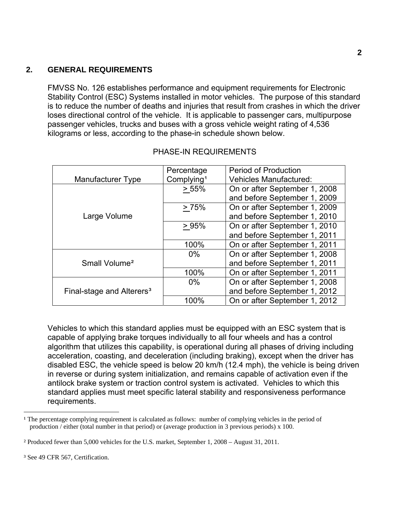## <span id="page-5-0"></span> **2. GENERAL REQUIREMENTS**

FMVSS No. 126 establishes performance and equipment requirements for Electronic Stability Control (ESC) Systems installed in motor vehicles. The purpose of this standard is to reduce the number of deaths and injuries that result from crashes in which the driver loses directional control of the vehicle. It is applicable to passenger cars, multipurpose passenger vehicles, trucks and buses with a gross vehicle weight rating of 4,536 kilograms or less, according to the phase-in schedule shown below.

|                                       | Percentage             | <b>Period of Production</b>   |
|---------------------------------------|------------------------|-------------------------------|
| Manufacturer Type                     | Complying <sup>1</sup> | <b>Vehicles Manufactured:</b> |
|                                       | > 55%                  | On or after September 1, 2008 |
|                                       |                        | and before September 1, 2009  |
|                                       | > 75%                  | On or after September 1, 2009 |
| Large Volume                          |                        | and before September 1, 2010  |
|                                       | >95%                   | On or after September 1, 2010 |
|                                       |                        | and before September 1, 2011  |
|                                       | 100%                   | On or after September 1, 2011 |
|                                       | $0\%$                  | On or after September 1, 2008 |
| Small Volume <sup>2</sup>             |                        | and before September 1, 2011  |
|                                       | 100%                   | On or after September 1, 2011 |
|                                       | $0\%$                  | On or after September 1, 2008 |
| Final-stage and Alterers <sup>3</sup> |                        | and before September 1, 2012  |
|                                       | 100%                   | On or after September 1, 2012 |

#### PHASE-IN REQUIREMENTS

Vehicles to which this standard applies must be equipped with an ESC system that is capable of applying brake torques individually to all four wheels and has a control algorithm that utilizes this capability, is operational during all phases of driving including acceleration, coasting, and deceleration (including braking), except when the driver has disabled ESC, the vehicle speed is below 20 km/h (12.4 mph), the vehicle is being driven in reverse or during system initialization, and remains capable of activation even if the antilock brake system or traction control system is activated. Vehicles to which this standard applies must meet specific lateral stability and responsiveness performance requirements.

l

<span id="page-5-1"></span><sup>&</sup>lt;sup>1</sup> The percentage complying requirement is calculated as follows: number of complying vehicles in the period of production / either (total number in that period) or (average production in 3 previous periods) x 100.

<span id="page-5-2"></span>² Produced fewer than 5,000 vehicles for the U.S. market, September 1, 2008 – August 31, 2011.

<span id="page-5-3"></span>³ See 49 CFR 567, Certification.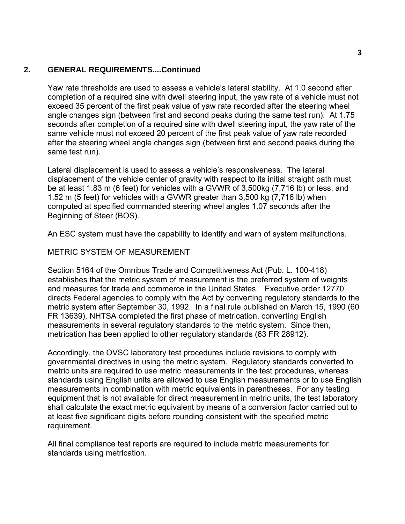## **2. GENERAL REQUIREMENTS....Continued**

Yaw rate thresholds are used to assess a vehicle's lateral stability. At 1.0 second after completion of a required sine with dwell steering input, the yaw rate of a vehicle must not exceed 35 percent of the first peak value of yaw rate recorded after the steering wheel angle changes sign (between first and second peaks during the same test run). At 1.75 seconds after completion of a required sine with dwell steering input, the yaw rate of the same vehicle must not exceed 20 percent of the first peak value of yaw rate recorded after the steering wheel angle changes sign (between first and second peaks during the same test run).

Lateral displacement is used to assess a vehicle's responsiveness. The lateral displacement of the vehicle center of gravity with respect to its initial straight path must be at least 1.83 m (6 feet) for vehicles with a GVWR of 3,500kg (7,716 lb) or less, and 1.52 m (5 feet) for vehicles with a GVWR greater than 3,500 kg (7,716 lb) when computed at specified commanded steering wheel angles 1.07 seconds after the Beginning of Steer (BOS).

An ESC system must have the capability to identify and warn of system malfunctions.

# METRIC SYSTEM OF MEASUREMENT

Section 5164 of the Omnibus Trade and Competitiveness Act (Pub. L. 100-418) establishes that the metric system of measurement is the preferred system of weights and measures for trade and commerce in the United States. Executive order 12770 directs Federal agencies to comply with the Act by converting regulatory standards to the metric system after September 30, 1992. In a final rule published on March 15, 1990 (60 FR 13639), NHTSA completed the first phase of metrication, converting English measurements in several regulatory standards to the metric system. Since then, metrication has been applied to other regulatory standards (63 FR 28912).

Accordingly, the OVSC laboratory test procedures include revisions to comply with governmental directives in using the metric system. Regulatory standards converted to metric units are required to use metric measurements in the test procedures, whereas standards using English units are allowed to use English measurements or to use English measurements in combination with metric equivalents in parentheses. For any testing equipment that is not available for direct measurement in metric units, the test laboratory shall calculate the exact metric equivalent by means of a conversion factor carried out to at least five significant digits before rounding consistent with the specified metric requirement.

All final compliance test reports are required to include metric measurements for standards using metrication.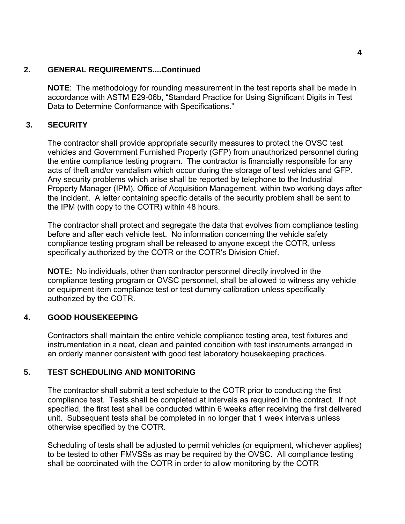## <span id="page-7-0"></span>**2. GENERAL REQUIREMENTS....Continued**

**NOTE**: The methodology for rounding measurement in the test reports shall be made in accordance with ASTM E29-06b, "Standard Practice for Using Significant Digits in Test Data to Determine Conformance with Specifications."

# **3. SECURITY**

The contractor shall provide appropriate security measures to protect the OVSC test vehicles and Government Furnished Property (GFP) from unauthorized personnel during the entire compliance testing program. The contractor is financially responsible for any acts of theft and/or vandalism which occur during the storage of test vehicles and GFP. Any security problems which arise shall be reported by telephone to the Industrial Property Manager (IPM), Office of Acquisition Management, within two working days after the incident. A letter containing specific details of the security problem shall be sent to the IPM (with copy to the COTR) within 48 hours.

The contractor shall protect and segregate the data that evolves from compliance testing before and after each vehicle test. No information concerning the vehicle safety compliance testing program shall be released to anyone except the COTR, unless specifically authorized by the COTR or the COTR's Division Chief.

**NOTE:** No individuals, other than contractor personnel directly involved in the compliance testing program or OVSC personnel, shall be allowed to witness any vehicle or equipment item compliance test or test dummy calibration unless specifically authorized by the COTR.

## **4. GOOD HOUSEKEEPING**

Contractors shall maintain the entire vehicle compliance testing area, test fixtures and instrumentation in a neat, clean and painted condition with test instruments arranged in an orderly manner consistent with good test laboratory housekeeping practices.

## **5. TEST SCHEDULING AND MONITORING**

The contractor shall submit a test schedule to the COTR prior to conducting the first compliance test. Tests shall be completed at intervals as required in the contract. If not specified, the first test shall be conducted within 6 weeks after receiving the first delivered unit. Subsequent tests shall be completed in no longer that 1 week intervals unless otherwise specified by the COTR.

Scheduling of tests shall be adjusted to permit vehicles (or equipment, whichever applies) to be tested to other FMVSSs as may be required by the OVSC. All compliance testing shall be coordinated with the COTR in order to allow monitoring by the COTR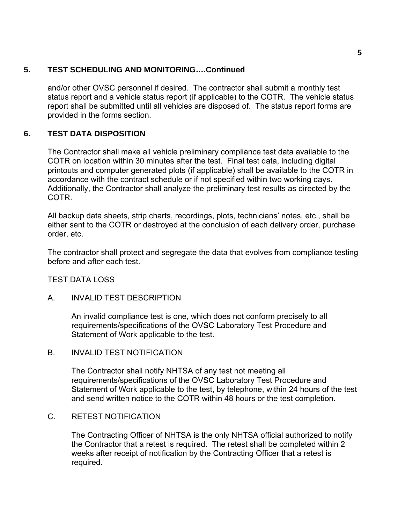## <span id="page-8-0"></span>**5. TEST SCHEDULING AND MONITORING….Continued**

and/or other OVSC personnel if desired. The contractor shall submit a monthly test status report and a vehicle status report (if applicable) to the COTR. The vehicle status report shall be submitted until all vehicles are disposed of. The status report forms are provided in the forms section.

# **6. TEST DATA DISPOSITION**

The Contractor shall make all vehicle preliminary compliance test data available to the COTR on location within 30 minutes after the test. Final test data, including digital printouts and computer generated plots (if applicable) shall be available to the COTR in accordance with the contract schedule or if not specified within two working days. Additionally, the Contractor shall analyze the preliminary test results as directed by the COTR.

All backup data sheets, strip charts, recordings, plots, technicians' notes, etc., shall be either sent to the COTR or destroyed at the conclusion of each delivery order, purchase order, etc.

The contractor shall protect and segregate the data that evolves from compliance testing before and after each test.

## TEST DATA LOSS

A. INVALID TEST DESCRIPTION

An invalid compliance test is one, which does not conform precisely to all requirements/specifications of the OVSC Laboratory Test Procedure and Statement of Work applicable to the test.

B. INVALID TEST NOTIFICATION

The Contractor shall notify NHTSA of any test not meeting all requirements/specifications of the OVSC Laboratory Test Procedure and Statement of Work applicable to the test, by telephone, within 24 hours of the test and send written notice to the COTR within 48 hours or the test completion.

#### C. RETEST NOTIFICATION

 The Contracting Officer of NHTSA is the only NHTSA official authorized to notify the Contractor that a retest is required. The retest shall be completed within 2 weeks after receipt of notification by the Contracting Officer that a retest is required.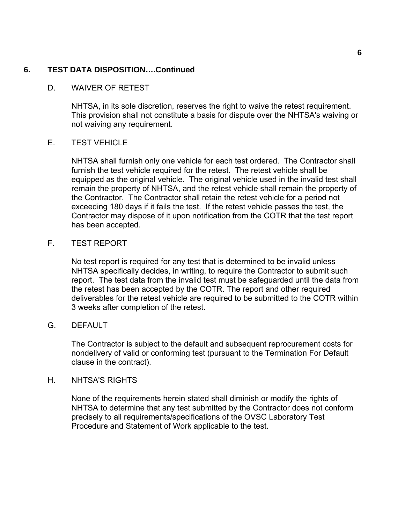## **6. TEST DATA DISPOSITION….Continued**

## D. WAIVER OF RETEST

NHTSA, in its sole discretion, reserves the right to waive the retest requirement. This provision shall not constitute a basis for dispute over the NHTSA's waiving or not waiving any requirement.

#### E. TEST VEHICLE

NHTSA shall furnish only one vehicle for each test ordered. The Contractor shall furnish the test vehicle required for the retest. The retest vehicle shall be equipped as the original vehicle. The original vehicle used in the invalid test shall remain the property of NHTSA, and the retest vehicle shall remain the property of the Contractor. The Contractor shall retain the retest vehicle for a period not exceeding 180 days if it fails the test. If the retest vehicle passes the test, the Contractor may dispose of it upon notification from the COTR that the test report has been accepted.

## F. TEST REPORT

No test report is required for any test that is determined to be invalid unless NHTSA specifically decides, in writing, to require the Contractor to submit such report. The test data from the invalid test must be safeguarded until the data from the retest has been accepted by the COTR. The report and other required deliverables for the retest vehicle are required to be submitted to the COTR within 3 weeks after completion of the retest.

#### G. DEFAULT

The Contractor is subject to the default and subsequent reprocurement costs for nondelivery of valid or conforming test (pursuant to the Termination For Default clause in the contract).

#### H. NHTSA'S RIGHTS

None of the requirements herein stated shall diminish or modify the rights of NHTSA to determine that any test submitted by the Contractor does not conform precisely to all requirements/specifications of the OVSC Laboratory Test Procedure and Statement of Work applicable to the test.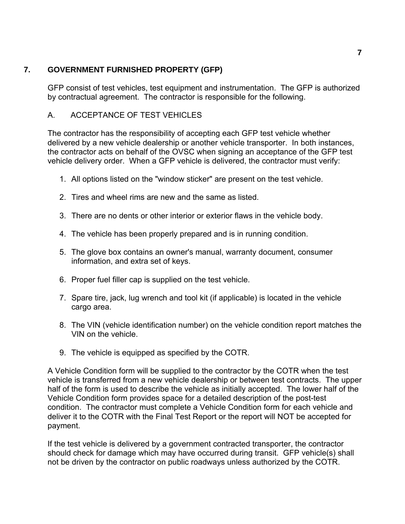# <span id="page-10-0"></span>**7. GOVERNMENT FURNISHED PROPERTY (GFP)**

GFP consist of test vehicles, test equipment and instrumentation. The GFP is authorized by contractual agreement. The contractor is responsible for the following.

# A. ACCEPTANCE OF TEST VEHICLES

The contractor has the responsibility of accepting each GFP test vehicle whether delivered by a new vehicle dealership or another vehicle transporter. In both instances, the contractor acts on behalf of the OVSC when signing an acceptance of the GFP test vehicle delivery order. When a GFP vehicle is delivered, the contractor must verify:

- 1. All options listed on the "window sticker" are present on the test vehicle.
- 2. Tires and wheel rims are new and the same as listed.
- 3. There are no dents or other interior or exterior flaws in the vehicle body.
- 4. The vehicle has been properly prepared and is in running condition.
- 5. The glove box contains an owner's manual, warranty document, consumer information, and extra set of keys.
- 6. Proper fuel filler cap is supplied on the test vehicle.
- 7. Spare tire, jack, lug wrench and tool kit (if applicable) is located in the vehicle cargo area.
- 8. The VIN (vehicle identification number) on the vehicle condition report matches the VIN on the vehicle.
- 9. The vehicle is equipped as specified by the COTR.

A Vehicle Condition form will be supplied to the contractor by the COTR when the test vehicle is transferred from a new vehicle dealership or between test contracts. The upper half of the form is used to describe the vehicle as initially accepted. The lower half of the Vehicle Condition form provides space for a detailed description of the post-test condition. The contractor must complete a Vehicle Condition form for each vehicle and deliver it to the COTR with the Final Test Report or the report will NOT be accepted for payment.

If the test vehicle is delivered by a government contracted transporter, the contractor should check for damage which may have occurred during transit. GFP vehicle(s) shall not be driven by the contractor on public roadways unless authorized by the COTR.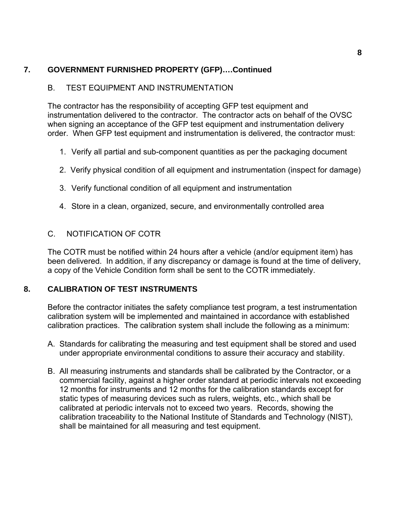# <span id="page-11-0"></span>**7. GOVERNMENT FURNISHED PROPERTY (GFP)….Continued**

# B. TEST EQUIPMENT AND INSTRUMENTATION

The contractor has the responsibility of accepting GFP test equipment and instrumentation delivered to the contractor. The contractor acts on behalf of the OVSC when signing an acceptance of the GFP test equipment and instrumentation delivery order. When GFP test equipment and instrumentation is delivered, the contractor must:

- 1. Verify all partial and sub-component quantities as per the packaging document
- 2. Verify physical condition of all equipment and instrumentation (inspect for damage)
- 3. Verify functional condition of all equipment and instrumentation
- 4. Store in a clean, organized, secure, and environmentally controlled area

# C. NOTIFICATION OF COTR

The COTR must be notified within 24 hours after a vehicle (and/or equipment item) has been delivered. In addition, if any discrepancy or damage is found at the time of delivery, a copy of the Vehicle Condition form shall be sent to the COTR immediately.

# **8. CALIBRATION OF TEST INSTRUMENTS**

Before the contractor initiates the safety compliance test program, a test instrumentation calibration system will be implemented and maintained in accordance with established calibration practices. The calibration system shall include the following as a minimum:

- A. Standards for calibrating the measuring and test equipment shall be stored and used under appropriate environmental conditions to assure their accuracy and stability.
- B. All measuring instruments and standards shall be calibrated by the Contractor, or a commercial facility, against a higher order standard at periodic intervals not exceeding 12 months for instruments and 12 months for the calibration standards except for static types of measuring devices such as rulers, weights, etc., which shall be calibrated at periodic intervals not to exceed two years. Records, showing the calibration traceability to the National Institute of Standards and Technology (NIST), shall be maintained for all measuring and test equipment.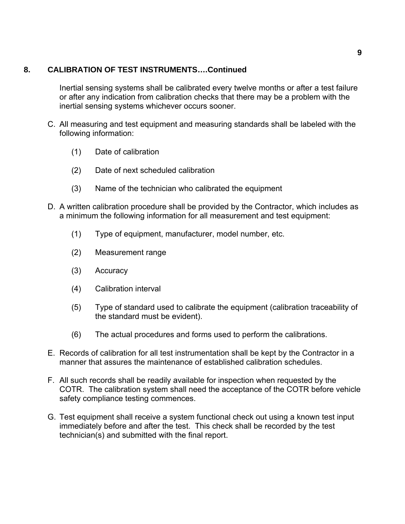## **8. CALIBRATION OF TEST INSTRUMENTS….Continued**

Inertial sensing systems shall be calibrated every twelve months or after a test failure or after any indication from calibration checks that there may be a problem with the inertial sensing systems whichever occurs sooner.

- C. All measuring and test equipment and measuring standards shall be labeled with the following information:
	- (1) Date of calibration
	- (2) Date of next scheduled calibration
	- (3) Name of the technician who calibrated the equipment
- D. A written calibration procedure shall be provided by the Contractor, which includes as a minimum the following information for all measurement and test equipment:
	- (1) Type of equipment, manufacturer, model number, etc.
	- (2) Measurement range
	- (3) Accuracy
	- (4) Calibration interval
	- (5) Type of standard used to calibrate the equipment (calibration traceability of the standard must be evident).
	- (6) The actual procedures and forms used to perform the calibrations.
- E. Records of calibration for all test instrumentation shall be kept by the Contractor in a manner that assures the maintenance of established calibration schedules.
- F. All such records shall be readily available for inspection when requested by the COTR. The calibration system shall need the acceptance of the COTR before vehicle safety compliance testing commences.
- G. Test equipment shall receive a system functional check out using a known test input immediately before and after the test. This check shall be recorded by the test technician(s) and submitted with the final report.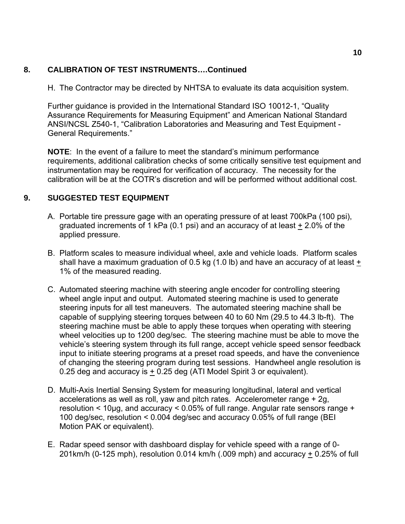# <span id="page-13-0"></span>**8. CALIBRATION OF TEST INSTRUMENTS….Continued**

H. The Contractor may be directed by NHTSA to evaluate its data acquisition system.

Further guidance is provided in the International Standard ISO 10012-1, "Quality Assurance Requirements for Measuring Equipment" and American National Standard ANSI/NCSL Z540-1, "Calibration Laboratories and Measuring and Test Equipment - General Requirements."

**NOTE**: In the event of a failure to meet the standard's minimum performance requirements, additional calibration checks of some critically sensitive test equipment and instrumentation may be required for verification of accuracy. The necessity for the calibration will be at the COTR's discretion and will be performed without additional cost.

# **9. SUGGESTED TEST EQUIPMENT**

- A. Portable tire pressure gage with an operating pressure of at least 700kPa (100 psi), graduated increments of 1 kPa (0.1 psi) and an accuracy of at least  $\pm$  2.0% of the applied pressure.
- B. Platform scales to measure individual wheel, axle and vehicle loads. Platform scales shall have a maximum graduation of 0.5 kg (1.0 lb) and have an accuracy of at least + 1% of the measured reading.
- C. Automated steering machine with steering angle encoder for controlling steering wheel angle input and output. Automated steering machine is used to generate steering inputs for all test maneuvers. The automated steering machine shall be capable of supplying steering torques between 40 to 60 Nm (29.5 to 44.3 lb-ft). The steering machine must be able to apply these torques when operating with steering wheel velocities up to 1200 deg/sec. The steering machine must be able to move the vehicle's steering system through its full range, accept vehicle speed sensor feedback input to initiate steering programs at a preset road speeds, and have the convenience of changing the steering program during test sessions. Handwheel angle resolution is 0.25 deg and accuracy is  $\pm$  0.25 deg (ATI Model Spirit 3 or equivalent).
- D. Multi-Axis Inertial Sensing System for measuring longitudinal, lateral and vertical accelerations as well as roll, yaw and pitch rates. Accelerometer range + 2g, resolution < 10μg, and accuracy < 0.05% of full range. Angular rate sensors range + 100 deg/sec, resolution < 0.004 deg/sec and accuracy 0.05% of full range (BEI Motion PAK or equivalent).
- E. Radar speed sensor with dashboard display for vehicle speed with a range of 0- 201km/h (0-125 mph), resolution 0.014 km/h (.009 mph) and accuracy + 0.25% of full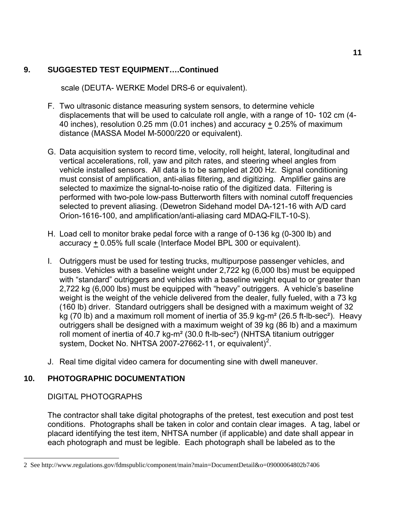# <span id="page-14-0"></span>**9. SUGGESTED TEST EQUIPMENT….Continued**

scale (DEUTA- WERKE Model DRS-6 or equivalent).

- F. Two ultrasonic distance measuring system sensors, to determine vehicle displacements that will be used to calculate roll angle, with a range of 10- 102 cm (4- 40 inches), resolution 0.25 mm (0.01 inches) and accuracy + 0.25% of maximum distance (MASSA Model M-5000/220 or equivalent).
- G. Data acquisition system to record time, velocity, roll height, lateral, longitudinal and vertical accelerations, roll, yaw and pitch rates, and steering wheel angles from vehicle installed sensors. All data is to be sampled at 200 Hz. Signal conditioning must consist of amplification, anti-alias filtering, and digitizing. Amplifier gains are selected to maximize the signal-to-noise ratio of the digitized data. Filtering is performed with two-pole low-pass Butterworth filters with nominal cutoff frequencies selected to prevent aliasing. (Dewetron Sidehand model DA-121-16 with A/D card Orion-1616-100, and amplification/anti-aliasing card MDAQ-FILT-10-S).
- H. Load cell to monitor brake pedal force with a range of 0-136 kg (0-300 lb) and accuracy + 0.05% full scale (Interface Model BPL 300 or equivalent).
- I. Outriggers must be used for testing trucks, multipurpose passenger vehicles, and buses. Vehicles with a baseline weight under 2,722 kg (6,000 lbs) must be equipped with "standard" outriggers and vehicles with a baseline weight equal to or greater than 2,722 kg (6,000 lbs) must be equipped with "heavy" outriggers. A vehicle's baseline weight is the weight of the vehicle delivered from the dealer, fully fueled, with a 73 kg (160 lb) driver. Standard outriggers shall be designed with a maximum weight of 32 kg (70 lb) and a maximum roll moment of inertia of 35.9 kg-m<sup>2</sup> (26.5 ft-lb-sec<sup>2</sup>). Heavy outriggers shall be designed with a maximum weight of 39 kg (86 lb) and a maximum roll moment of inertia of 40.7 kg-m² (30.0 ft-lb-sec²) (NHTSA titanium outrigger system, Docket No. NHTSA [2](#page-14-1)007-27662-11, or equivalent)<sup>2</sup>.
- J. Real time digital video camera for documenting sine with dwell maneuver.

# **10. PHOTOGRAPHIC DOCUMENTATION**

DIGITAL PHOTOGRAPHS

l

The contractor shall take digital photographs of the pretest, test execution and post test conditions. Photographs shall be taken in color and contain clear images. A tag, label or placard identifying the test item, NHTSA number (if applicable) and date shall appear in each photograph and must be legible. Each photograph shall be labeled as to the

<span id="page-14-1"></span><sup>2</sup> See http://www.regulations.gov/fdmspublic/component/main?main=DocumentDetail&o=09000064802b7406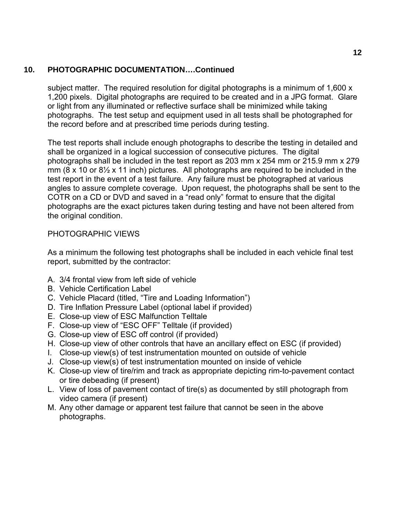# **10. PHOTOGRAPHIC DOCUMENTATION….Continued**

subject matter. The required resolution for digital photographs is a minimum of 1,600 x 1,200 pixels. Digital photographs are required to be created and in a JPG format. Glare or light from any illuminated or reflective surface shall be minimized while taking photographs. The test setup and equipment used in all tests shall be photographed for the record before and at prescribed time periods during testing.

The test reports shall include enough photographs to describe the testing in detailed and shall be organized in a logical succession of consecutive pictures. The digital photographs shall be included in the test report as 203 mm x 254 mm or 215.9 mm x 279 mm (8 x 10 or 8½ x 11 inch) pictures. All photographs are required to be included in the test report in the event of a test failure. Any failure must be photographed at various angles to assure complete coverage. Upon request, the photographs shall be sent to the COTR on a CD or DVD and saved in a "read only" format to ensure that the digital photographs are the exact pictures taken during testing and have not been altered from the original condition.

# PHOTOGRAPHIC VIEWS

As a minimum the following test photographs shall be included in each vehicle final test report, submitted by the contractor:

- A. 3/4 frontal view from left side of vehicle
- B. Vehicle Certification Label
- C. Vehicle Placard (titled, "Tire and Loading Information")
- D. Tire Inflation Pressure Label (optional label if provided)
- E. Close-up view of ESC Malfunction Telltale
- F. Close-up view of "ESC OFF" Telltale (if provided)
- G. Close-up view of ESC off control (if provided)
- H. Close-up view of other controls that have an ancillary effect on ESC (if provided)
- I. Close-up view(s) of test instrumentation mounted on outside of vehicle
- J. Close-up view(s) of test instrumentation mounted on inside of vehicle
- K. Close-up view of tire/rim and track as appropriate depicting rim-to-pavement contact or tire debeading (if present)
- L. View of loss of pavement contact of tire(s) as documented by still photograph from video camera (if present)
- M. Any other damage or apparent test failure that cannot be seen in the above photographs.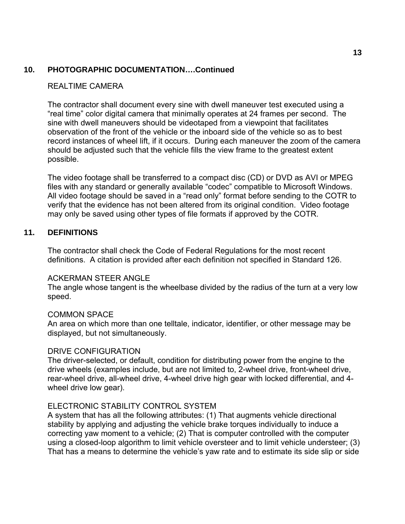# <span id="page-16-0"></span>**10. PHOTOGRAPHIC DOCUMENTATION….Continued**

### REALTIME CAMERA

The contractor shall document every sine with dwell maneuver test executed using a "real time" color digital camera that minimally operates at 24 frames per second. The sine with dwell maneuvers should be videotaped from a viewpoint that facilitates observation of the front of the vehicle or the inboard side of the vehicle so as to best record instances of wheel lift, if it occurs. During each maneuver the zoom of the camera should be adjusted such that the vehicle fills the view frame to the greatest extent possible.

The video footage shall be transferred to a compact disc (CD) or DVD as AVI or MPEG files with any standard or generally available "codec" compatible to Microsoft Windows. All video footage should be saved in a "read only" format before sending to the COTR to verify that the evidence has not been altered from its original condition. Video footage may only be saved using other types of file formats if approved by the COTR.

#### **11. DEFINITIONS**

The contractor shall check the Code of Federal Regulations for the most recent definitions. A citation is provided after each definition not specified in Standard 126.

#### ACKERMAN STEER ANGLE

The angle whose tangent is the wheelbase divided by the radius of the turn at a very low speed.

#### COMMON SPACE

An area on which more than one telltale, indicator, identifier, or other message may be displayed, but not simultaneously.

#### DRIVE CONFIGURATION

The driver-selected, or default, condition for distributing power from the engine to the drive wheels (examples include, but are not limited to, 2-wheel drive, front-wheel drive, rear-wheel drive, all-wheel drive, 4-wheel drive high gear with locked differential, and 4 wheel drive low gear).

#### ELECTRONIC STABILITY CONTROL SYSTEM

A system that has all the following attributes: (1) That augments vehicle directional stability by applying and adjusting the vehicle brake torques individually to induce a correcting yaw moment to a vehicle; (2) That is computer controlled with the computer using a closed-loop algorithm to limit vehicle oversteer and to limit vehicle understeer; (3) That has a means to determine the vehicle's yaw rate and to estimate its side slip or side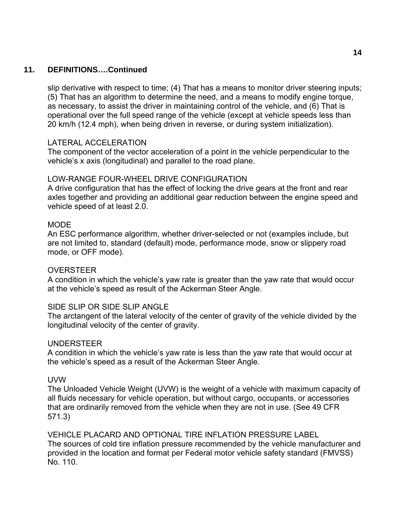## **11. DEFINITIONS….Continued**

slip derivative with respect to time; (4) That has a means to monitor driver steering inputs; (5) That has an algorithm to determine the need, and a means to modify engine torque, as necessary, to assist the driver in maintaining control of the vehicle, and (6) That is operational over the full speed range of the vehicle (except at vehicle speeds less than 20 km/h (12.4 mph), when being driven in reverse, or during system initialization).

#### LATERAL ACCELERATION

The component of the vector acceleration of a point in the vehicle perpendicular to the vehicle's x axis (longitudinal) and parallel to the road plane.

#### LOW-RANGE FOUR-WHEEL DRIVE CONFIGURATION

A drive configuration that has the effect of locking the drive gears at the front and rear axles together and providing an additional gear reduction between the engine speed and vehicle speed of at least 2.0.

#### **MODE**

An ESC performance algorithm, whether driver-selected or not (examples include, but are not limited to, standard (default) mode, performance mode, snow or slippery road mode, or OFF mode).

#### OVERSTEER

A condition in which the vehicle's yaw rate is greater than the yaw rate that would occur at the vehicle's speed as result of the Ackerman Steer Angle.

#### SIDE SLIP OR SIDE SLIP ANGLE

The arctangent of the lateral velocity of the center of gravity of the vehicle divided by the longitudinal velocity of the center of gravity.

#### UNDERSTEER

A condition in which the vehicle's yaw rate is less than the yaw rate that would occur at the vehicle's speed as a result of the Ackerman Steer Angle.

#### UVW

The Unloaded Vehicle Weight (UVW) is the weight of a vehicle with maximum capacity of all fluids necessary for vehicle operation, but without cargo, occupants, or accessories that are ordinarily removed from the vehicle when they are not in use. (See 49 CFR 571.3)

VEHICLE PLACARD AND OPTIONAL TIRE INFLATION PRESSURE LABEL The sources of cold tire inflation pressure recommended by the vehicle manufacturer and provided in the location and format per Federal motor vehicle safety standard (FMVSS) No. 110.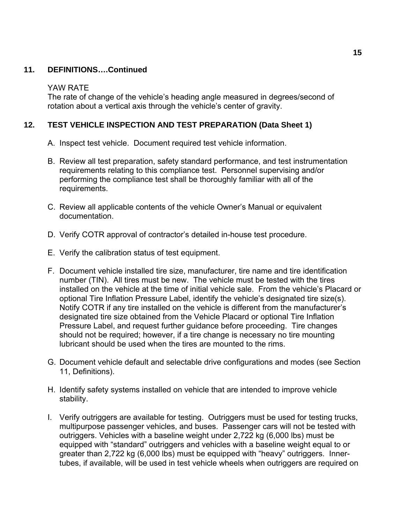# <span id="page-18-0"></span>**11. DEFINITIONS….Continued**

#### YAW RATE

The rate of change of the vehicle's heading angle measured in degrees/second of rotation about a vertical axis through the vehicle's center of gravity.

# **12. TEST VEHICLE INSPECTION AND TEST PREPARATION (Data Sheet 1)**

- A. Inspect test vehicle. Document required test vehicle information.
- B. Review all test preparation, safety standard performance, and test instrumentation requirements relating to this compliance test. Personnel supervising and/or performing the compliance test shall be thoroughly familiar with all of the requirements.
- C. Review all applicable contents of the vehicle Owner's Manual or equivalent documentation.
- D. Verify COTR approval of contractor's detailed in-house test procedure.
- E. Verify the calibration status of test equipment.
- F. Document vehicle installed tire size, manufacturer, tire name and tire identification number (TIN). All tires must be new. The vehicle must be tested with the tires installed on the vehicle at the time of initial vehicle sale. From the vehicle's Placard or optional Tire Inflation Pressure Label, identify the vehicle's designated tire size(s). Notify COTR if any tire installed on the vehicle is different from the manufacturer's designated tire size obtained from the Vehicle Placard or optional Tire Inflation Pressure Label, and request further guidance before proceeding. Tire changes should not be required; however, if a tire change is necessary no tire mounting lubricant should be used when the tires are mounted to the rims.
- G. Document vehicle default and selectable drive configurations and modes (see Section 11, Definitions).
- H. Identify safety systems installed on vehicle that are intended to improve vehicle stability.
- I. Verify outriggers are available for testing. Outriggers must be used for testing trucks, multipurpose passenger vehicles, and buses. Passenger cars will not be tested with outriggers. Vehicles with a baseline weight under 2,722 kg (6,000 lbs) must be equipped with "standard" outriggers and vehicles with a baseline weight equal to or greater than 2,722 kg (6,000 lbs) must be equipped with "heavy" outriggers. Innertubes, if available, will be used in test vehicle wheels when outriggers are required on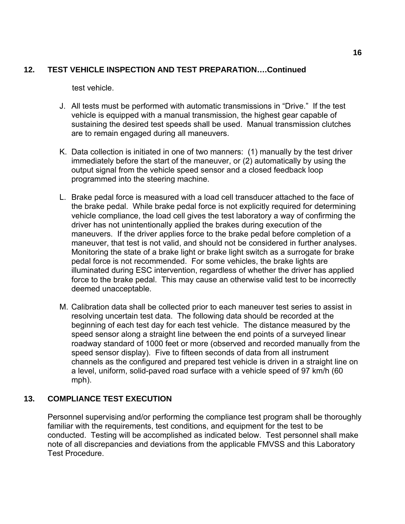# <span id="page-19-0"></span>**12. TEST VEHICLE INSPECTION AND TEST PREPARATION….Continued**

test vehicle.

- J. All tests must be performed with automatic transmissions in "Drive." If the test vehicle is equipped with a manual transmission, the highest gear capable of sustaining the desired test speeds shall be used. Manual transmission clutches are to remain engaged during all maneuvers.
- K. Data collection is initiated in one of two manners: (1) manually by the test driver immediately before the start of the maneuver, or (2) automatically by using the output signal from the vehicle speed sensor and a closed feedback loop programmed into the steering machine.
- L. Brake pedal force is measured with a load cell transducer attached to the face of the brake pedal. While brake pedal force is not explicitly required for determining vehicle compliance, the load cell gives the test laboratory a way of confirming the driver has not unintentionally applied the brakes during execution of the maneuvers. If the driver applies force to the brake pedal before completion of a maneuver, that test is not valid, and should not be considered in further analyses. Monitoring the state of a brake light or brake light switch as a surrogate for brake pedal force is not recommended. For some vehicles, the brake lights are illuminated during ESC intervention, regardless of whether the driver has applied force to the brake pedal. This may cause an otherwise valid test to be incorrectly deemed unacceptable.
- M. Calibration data shall be collected prior to each maneuver test series to assist in resolving uncertain test data. The following data should be recorded at the beginning of each test day for each test vehicle. The distance measured by the speed sensor along a straight line between the end points of a surveyed linear roadway standard of 1000 feet or more (observed and recorded manually from the speed sensor display). Five to fifteen seconds of data from all instrument channels as the configured and prepared test vehicle is driven in a straight line on a level, uniform, solid-paved road surface with a vehicle speed of 97 km/h (60 mph).

# **13. COMPLIANCE TEST EXECUTION**

Personnel supervising and/or performing the compliance test program shall be thoroughly familiar with the requirements, test conditions, and equipment for the test to be conducted. Testing will be accomplished as indicated below. Test personnel shall make note of all discrepancies and deviations from the applicable FMVSS and this Laboratory Test Procedure.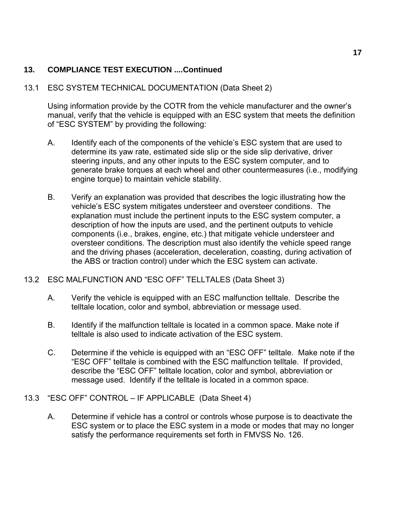## 13.1 ESC SYSTEM TECHNICAL DOCUMENTATION (Data Sheet 2)

Using information provide by the COTR from the vehicle manufacturer and the owner's manual, verify that the vehicle is equipped with an ESC system that meets the definition of "ESC SYSTEM" by providing the following:

- A. Identify each of the components of the vehicle's ESC system that are used to determine its yaw rate, estimated side slip or the side slip derivative, driver steering inputs, and any other inputs to the ESC system computer, and to generate brake torques at each wheel and other countermeasures (i.e., modifying engine torque) to maintain vehicle stability.
- B. Verify an explanation was provided that describes the logic illustrating how the vehicle's ESC system mitigates understeer and oversteer conditions. The explanation must include the pertinent inputs to the ESC system computer, a description of how the inputs are used, and the pertinent outputs to vehicle components (i.e., brakes, engine, etc.) that mitigate vehicle understeer and oversteer conditions. The description must also identify the vehicle speed range and the driving phases (acceleration, deceleration, coasting, during activation of the ABS or traction control) under which the ESC system can activate.

## 13.2 ESC MALFUNCTION AND "ESC OFF" TELLTALES (Data Sheet 3)

- A. Verify the vehicle is equipped with an ESC malfunction telltale. Describe the telltale location, color and symbol, abbreviation or message used.
- B. Identify if the malfunction telltale is located in a common space. Make note if telltale is also used to indicate activation of the ESC system.
- C. Determine if the vehicle is equipped with an "ESC OFF" telltale. Make note if the "ESC OFF" telltale is combined with the ESC malfunction telltale. If provided, describe the "ESC OFF" telltale location, color and symbol, abbreviation or message used. Identify if the telltale is located in a common space.
- 13.3 "ESC OFF" CONTROL IF APPLICABLE (Data Sheet 4)
	- A. Determine if vehicle has a control or controls whose purpose is to deactivate the ESC system or to place the ESC system in a mode or modes that may no longer satisfy the performance requirements set forth in FMVSS No. 126.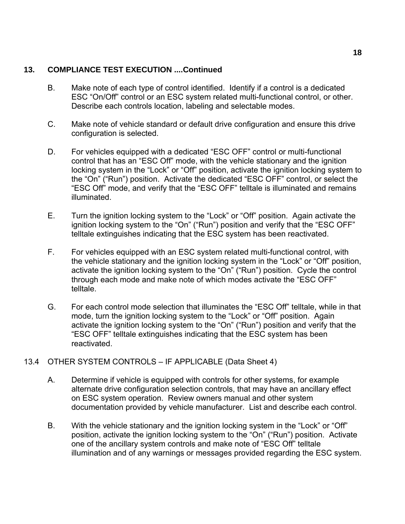- B. Make note of each type of control identified. Identify if a control is a dedicated ESC "On/Off" control or an ESC system related multi-functional control, or other. Describe each controls location, labeling and selectable modes.
- C. Make note of vehicle standard or default drive configuration and ensure this drive configuration is selected.
- D. For vehicles equipped with a dedicated "ESC OFF" control or multi-functional control that has an "ESC Off" mode, with the vehicle stationary and the ignition locking system in the "Lock" or "Off" position, activate the ignition locking system to the "On" ("Run") position. Activate the dedicated "ESC OFF" control, or select the "ESC Off" mode, and verify that the "ESC OFF" telltale is illuminated and remains illuminated.
- E. Turn the ignition locking system to the "Lock" or "Off" position. Again activate the ignition locking system to the "On" ("Run") position and verify that the "ESC OFF" telltale extinguishes indicating that the ESC system has been reactivated.
- F. For vehicles equipped with an ESC system related multi-functional control, with the vehicle stationary and the ignition locking system in the "Lock" or "Off" position, activate the ignition locking system to the "On" ("Run") position. Cycle the control through each mode and make note of which modes activate the "ESC OFF" telltale.
- G. For each control mode selection that illuminates the "ESC Off" telltale, while in that mode, turn the ignition locking system to the "Lock" or "Off" position. Again activate the ignition locking system to the "On" ("Run") position and verify that the "ESC OFF" telltale extinguishes indicating that the ESC system has been reactivated.
- 13.4 OTHER SYSTEM CONTROLS IF APPLICABLE (Data Sheet 4)
	- A. Determine if vehicle is equipped with controls for other systems, for example alternate drive configuration selection controls, that may have an ancillary effect on ESC system operation. Review owners manual and other system documentation provided by vehicle manufacturer. List and describe each control.
	- B. With the vehicle stationary and the ignition locking system in the "Lock" or "Off" position, activate the ignition locking system to the "On" ("Run") position. Activate one of the ancillary system controls and make note of "ESC Off" telltale illumination and of any warnings or messages provided regarding the ESC system.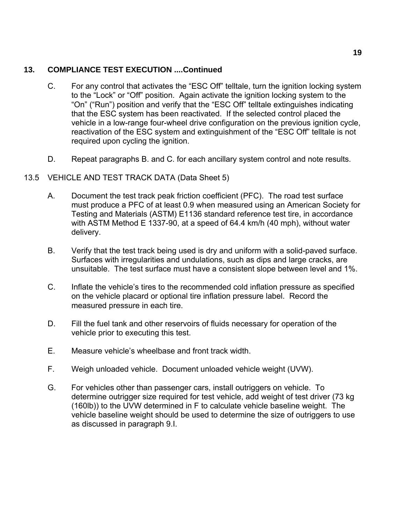- C. For any control that activates the "ESC Off" telltale, turn the ignition locking system to the "Lock" or "Off" position. Again activate the ignition locking system to the "On" ("Run") position and verify that the "ESC Off" telltale extinguishes indicating that the ESC system has been reactivated. If the selected control placed the vehicle in a low-range four-wheel drive configuration on the previous ignition cycle, reactivation of the ESC system and extinguishment of the "ESC Off" telltale is not required upon cycling the ignition.
- D. Repeat paragraphs B. and C. for each ancillary system control and note results.

# 13.5 VEHICLE AND TEST TRACK DATA (Data Sheet 5)

- A. Document the test track peak friction coefficient (PFC). The road test surface must produce a PFC of at least 0.9 when measured using an American Society for Testing and Materials (ASTM) E1136 standard reference test tire, in accordance with ASTM Method E 1337-90, at a speed of 64.4 km/h (40 mph), without water delivery.
- B. Verify that the test track being used is dry and uniform with a solid-paved surface. Surfaces with irregularities and undulations, such as dips and large cracks, are unsuitable. The test surface must have a consistent slope between level and 1%.
- C. Inflate the vehicle's tires to the recommended cold inflation pressure as specified on the vehicle placard or optional tire inflation pressure label. Record the measured pressure in each tire.
- D. Fill the fuel tank and other reservoirs of fluids necessary for operation of the vehicle prior to executing this test.
- E. Measure vehicle's wheelbase and front track width.
- F. Weigh unloaded vehicle. Document unloaded vehicle weight (UVW).
- G. For vehicles other than passenger cars, install outriggers on vehicle. To determine outrigger size required for test vehicle, add weight of test driver (73 kg (160lb)) to the UVW determined in F to calculate vehicle baseline weight. The vehicle baseline weight should be used to determine the size of outriggers to use as discussed in paragraph 9.I.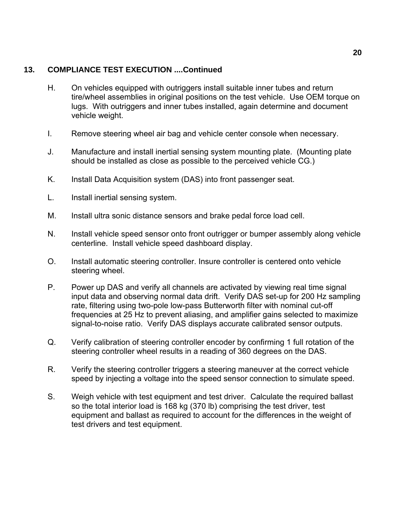- H. On vehicles equipped with outriggers install suitable inner tubes and return tire/wheel assemblies in original positions on the test vehicle. Use OEM torque on lugs. With outriggers and inner tubes installed, again determine and document vehicle weight.
- I. Remove steering wheel air bag and vehicle center console when necessary.
- J. Manufacture and install inertial sensing system mounting plate. (Mounting plate should be installed as close as possible to the perceived vehicle CG.)
- K. Install Data Acquisition system (DAS) into front passenger seat.
- L. Install inertial sensing system.
- M. Install ultra sonic distance sensors and brake pedal force load cell.
- N. Install vehicle speed sensor onto front outrigger or bumper assembly along vehicle centerline. Install vehicle speed dashboard display.
- O. Install automatic steering controller. Insure controller is centered onto vehicle steering wheel.
- P. Power up DAS and verify all channels are activated by viewing real time signal input data and observing normal data drift. Verify DAS set-up for 200 Hz sampling rate, filtering using two-pole low-pass Butterworth filter with nominal cut-off frequencies at 25 Hz to prevent aliasing, and amplifier gains selected to maximize signal-to-noise ratio. Verify DAS displays accurate calibrated sensor outputs.
- Q. Verify calibration of steering controller encoder by confirming 1 full rotation of the steering controller wheel results in a reading of 360 degrees on the DAS.
- R. Verify the steering controller triggers a steering maneuver at the correct vehicle speed by injecting a voltage into the speed sensor connection to simulate speed.
- S. Weigh vehicle with test equipment and test driver. Calculate the required ballast so the total interior load is 168 kg (370 lb) comprising the test driver, test equipment and ballast as required to account for the differences in the weight of test drivers and test equipment.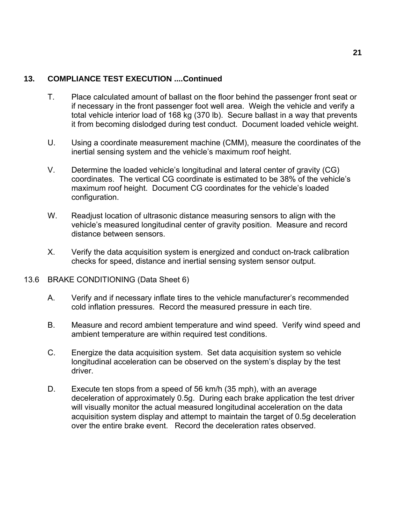- T. Place calculated amount of ballast on the floor behind the passenger front seat or if necessary in the front passenger foot well area. Weigh the vehicle and verify a total vehicle interior load of 168 kg (370 lb). Secure ballast in a way that prevents it from becoming dislodged during test conduct. Document loaded vehicle weight.
- U. Using a coordinate measurement machine (CMM), measure the coordinates of the inertial sensing system and the vehicle's maximum roof height.
- V. Determine the loaded vehicle's longitudinal and lateral center of gravity (CG) coordinates. The vertical CG coordinate is estimated to be 38% of the vehicle's maximum roof height. Document CG coordinates for the vehicle's loaded configuration.
- W. Readjust location of ultrasonic distance measuring sensors to align with the vehicle's measured longitudinal center of gravity position. Measure and record distance between sensors.
- X. Verify the data acquisition system is energized and conduct on-track calibration checks for speed, distance and inertial sensing system sensor output.
- 13.6 BRAKE CONDITIONING (Data Sheet 6)
	- A. Verify and if necessary inflate tires to the vehicle manufacturer's recommended cold inflation pressures. Record the measured pressure in each tire.
	- B. Measure and record ambient temperature and wind speed. Verify wind speed and ambient temperature are within required test conditions.
	- C. Energize the data acquisition system. Set data acquisition system so vehicle longitudinal acceleration can be observed on the system's display by the test driver.
	- D. Execute ten stops from a speed of 56 km/h (35 mph), with an average deceleration of approximately 0.5g. During each brake application the test driver will visually monitor the actual measured longitudinal acceleration on the data acquisition system display and attempt to maintain the target of 0.5g deceleration over the entire brake event. Record the deceleration rates observed.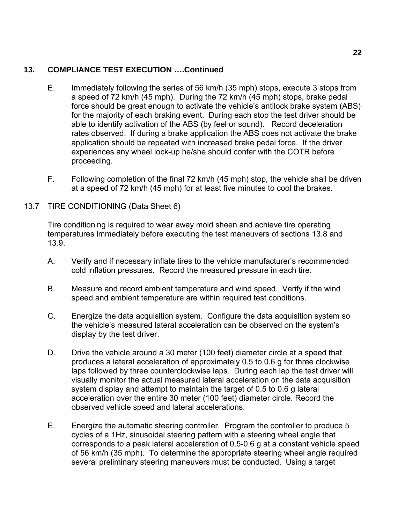- E. Immediately following the series of 56 km/h (35 mph) stops, execute 3 stops from a speed of 72 km/h (45 mph). During the 72 km/h (45 mph) stops, brake pedal force should be great enough to activate the vehicle's antilock brake system (ABS) for the majority of each braking event. During each stop the test driver should be able to identify activation of the ABS (by feel or sound). Record deceleration rates observed. If during a brake application the ABS does not activate the brake application should be repeated with increased brake pedal force. If the driver experiences any wheel lock-up he/she should confer with the COTR before proceeding.
- F. Following completion of the final 72 km/h (45 mph) stop, the vehicle shall be driven at a speed of 72 km/h (45 mph) for at least five minutes to cool the brakes.

# 13.7 TIRE CONDITIONING (Data Sheet 6)

Tire conditioning is required to wear away mold sheen and achieve tire operating temperatures immediately before executing the test maneuvers of sections 13.8 and 13.9.

- A. Verify and if necessary inflate tires to the vehicle manufacturer's recommended cold inflation pressures. Record the measured pressure in each tire.
- B. Measure and record ambient temperature and wind speed. Verify if the wind speed and ambient temperature are within required test conditions.
- C. Energize the data acquisition system. Configure the data acquisition system so the vehicle's measured lateral acceleration can be observed on the system's display by the test driver.
- D. Drive the vehicle around a 30 meter (100 feet) diameter circle at a speed that produces a lateral acceleration of approximately 0.5 to 0.6 g for three clockwise laps followed by three counterclockwise laps. During each lap the test driver will visually monitor the actual measured lateral acceleration on the data acquisition system display and attempt to maintain the target of 0.5 to 0.6 g lateral acceleration over the entire 30 meter (100 feet) diameter circle. Record the observed vehicle speed and lateral accelerations.
- E. Energize the automatic steering controller. Program the controller to produce 5 cycles of a 1Hz, sinusoidal steering pattern with a steering wheel angle that corresponds to a peak lateral acceleration of 0.5-0.6 g at a constant vehicle speed of 56 km/h (35 mph). To determine the appropriate steering wheel angle required several preliminary steering maneuvers must be conducted. Using a target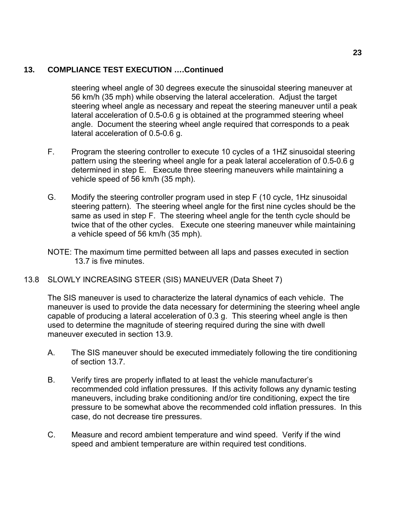steering wheel angle of 30 degrees execute the sinusoidal steering maneuver at 56 km/h (35 mph) while observing the lateral acceleration. Adjust the target steering wheel angle as necessary and repeat the steering maneuver until a peak lateral acceleration of 0.5-0.6 g is obtained at the programmed steering wheel angle. Document the steering wheel angle required that corresponds to a peak lateral acceleration of 0.5-0.6 g.

- F. Program the steering controller to execute 10 cycles of a 1HZ sinusoidal steering pattern using the steering wheel angle for a peak lateral acceleration of 0.5-0.6 g determined in step E. Execute three steering maneuvers while maintaining a vehicle speed of 56 km/h (35 mph).
- G. Modify the steering controller program used in step F (10 cycle, 1Hz sinusoidal steering pattern). The steering wheel angle for the first nine cycles should be the same as used in step F. The steering wheel angle for the tenth cycle should be twice that of the other cycles. Execute one steering maneuver while maintaining a vehicle speed of 56 km/h (35 mph).
- NOTE: The maximum time permitted between all laps and passes executed in section 13.7 is five minutes.

## 13.8 SLOWLY INCREASING STEER (SIS) MANEUVER (Data Sheet 7)

The SIS maneuver is used to characterize the lateral dynamics of each vehicle. The maneuver is used to provide the data necessary for determining the steering wheel angle capable of producing a lateral acceleration of 0.3 g. This steering wheel angle is then used to determine the magnitude of steering required during the sine with dwell maneuver executed in section 13.9.

- A. The SIS maneuver should be executed immediately following the tire conditioning of section 13.7.
- B. Verify tires are properly inflated to at least the vehicle manufacturer's recommended cold inflation pressures. If this activity follows any dynamic testing maneuvers, including brake conditioning and/or tire conditioning, expect the tire pressure to be somewhat above the recommended cold inflation pressures. In this case, do not decrease tire pressures.
- C. Measure and record ambient temperature and wind speed. Verify if the wind speed and ambient temperature are within required test conditions.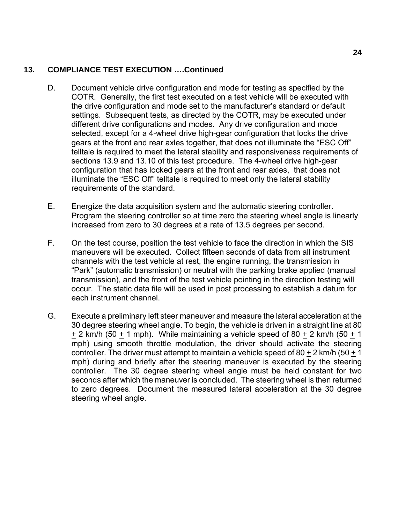- D. Document vehicle drive configuration and mode for testing as specified by the COTR. Generally, the first test executed on a test vehicle will be executed with the drive configuration and mode set to the manufacturer's standard or default settings. Subsequent tests, as directed by the COTR, may be executed under different drive configurations and modes. Any drive configuration and mode selected, except for a 4-wheel drive high-gear configuration that locks the drive gears at the front and rear axles together, that does not illuminate the "ESC Off" telltale is required to meet the lateral stability and responsiveness requirements of sections 13.9 and 13.10 of this test procedure. The 4-wheel drive high-gear configuration that has locked gears at the front and rear axles, that does not illuminate the "ESC Off" telltale is required to meet only the lateral stability requirements of the standard.
- E. Energize the data acquisition system and the automatic steering controller. Program the steering controller so at time zero the steering wheel angle is linearly increased from zero to 30 degrees at a rate of 13.5 degrees per second.
- F. On the test course, position the test vehicle to face the direction in which the SIS maneuvers will be executed. Collect fifteen seconds of data from all instrument channels with the test vehicle at rest, the engine running, the transmission in "Park" (automatic transmission) or neutral with the parking brake applied (manual transmission), and the front of the test vehicle pointing in the direction testing will occur. The static data file will be used in post processing to establish a datum for each instrument channel.
- G. Execute a preliminary left steer maneuver and measure the lateral acceleration at the 30 degree steering wheel angle. To begin, the vehicle is driven in a straight line at 80  $+ 2$  km/h (50  $+ 1$  mph). While maintaining a vehicle speed of 80  $+ 2$  km/h (50  $+ 1$ ) mph) using smooth throttle modulation, the driver should activate the steering controller. The driver must attempt to maintain a vehicle speed of  $80 + 2$  km/h ( $50 + 1$ ) mph) during and briefly after the steering maneuver is executed by the steering controller. The 30 degree steering wheel angle must be held constant for two seconds after which the maneuver is concluded. The steering wheel is then returned to zero degrees. Document the measured lateral acceleration at the 30 degree steering wheel angle.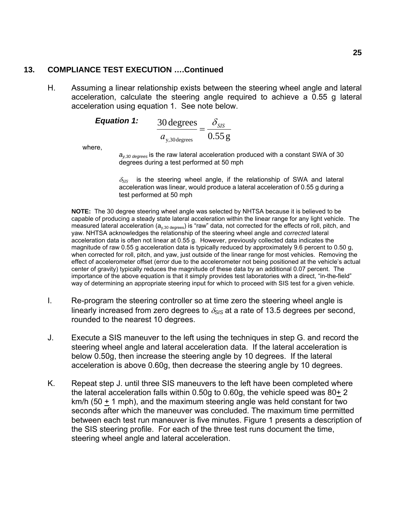H. Assuming a linear relationship exists between the steering wheel angle and lateral acceleration, calculate the steering angle required to achieve a 0.55 g lateral acceleration using equation 1. See note below.

**Equation 1:** 
$$
\frac{30 \text{ degrees}}{a_{y,30 \text{ degrees}}} = \frac{\delta_{\text{SIS}}}{0.55 \text{ g}}
$$

where,

 $a_{v,30 \text{ degrees}}$  is the raw lateral acceleration produced with a constant SWA of 30 degrees during a test performed at 50 mph

 $\delta_{SIS}$  is the steering wheel angle, if the relationship of SWA and lateral acceleration was linear, would produce a lateral acceleration of 0.55 g during a test performed at 50 mph

**NOTE:** The 30 degree steering wheel angle was selected by NHTSA because it is believed to be capable of producing a steady state lateral acceleration within the linear range for any light vehicle. The measured lateral acceleration  $(a_{v,30 \text{ degrees}})$  is "raw" data, not corrected for the effects of roll, pitch, and yaw. NHTSA acknowledges the relationship of the steering wheel angle and *corrected* lateral acceleration data is often not linear at 0.55 g. However, previously collected data indicates the magnitude of raw 0.55 g acceleration data is typically reduced by approximately 9.6 percent to 0.50 g, when corrected for roll, pitch, and yaw, just outside of the linear range for most vehicles. Removing the effect of accelerometer offset (error due to the accelerometer not being positioned at the vehicle's actual center of gravity) typically reduces the magnitude of these data by an additional 0.07 percent. The importance of the above equation is that it simply provides test laboratories with a direct, "in-the-field" way of determining an appropriate steering input for which to proceed with SIS test for a given vehicle.

- I. Re-program the steering controller so at time zero the steering wheel angle is linearly increased from zero degrees to  $\delta_{SIS}$  at a rate of 13.5 degrees per second, rounded to the nearest 10 degrees.
- J. Execute a SIS maneuver to the left using the techniques in step G. and record the steering wheel angle and lateral acceleration data. If the lateral acceleration is below 0.50g, then increase the steering angle by 10 degrees. If the lateral acceleration is above 0.60g, then decrease the steering angle by 10 degrees.
- K. Repeat step J. until three SIS maneuvers to the left have been completed where the lateral acceleration falls within 0.50g to 0.60g, the vehicle speed was 80+ 2 km/h (50 + 1 mph), and the maximum steering angle was held constant for two seconds after which the maneuver was concluded. The maximum time permitted between each test run maneuver is five minutes. Figure 1 presents a description of the SIS steering profile. For each of the three test runs document the time, steering wheel angle and lateral acceleration.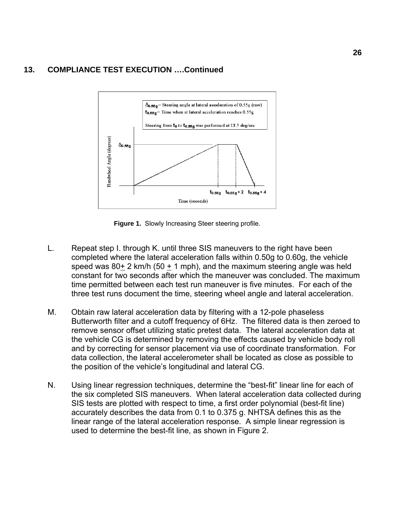

**Figure 1.** Slowly Increasing Steer steering profile.

- L. Repeat step I. through K. until three SIS maneuvers to the right have been completed where the lateral acceleration falls within 0.50g to 0.60g, the vehicle speed was  $80+2$  km/h (50  $+$  1 mph), and the maximum steering angle was held constant for two seconds after which the maneuver was concluded. The maximum time permitted between each test run maneuver is five minutes. For each of the three test runs document the time, steering wheel angle and lateral acceleration.
- M. Obtain raw lateral acceleration data by filtering with a 12-pole phaseless Butterworth filter and a cutoff frequency of 6Hz. The filtered data is then zeroed to remove sensor offset utilizing static pretest data. The lateral acceleration data at the vehicle CG is determined by removing the effects caused by vehicle body roll and by correcting for sensor placement via use of coordinate transformation. For data collection, the lateral accelerometer shall be located as close as possible to the position of the vehicle's longitudinal and lateral CG.
- N. Using linear regression techniques, determine the "best-fit" linear line for each of the six completed SIS maneuvers. When lateral acceleration data collected during SIS tests are plotted with respect to time, a first order polynomial (best-fit line) accurately describes the data from 0.1 to 0.375 g. NHTSA defines this as the linear range of the lateral acceleration response. A simple linear regression is used to determine the best-fit line, as shown in Figure 2.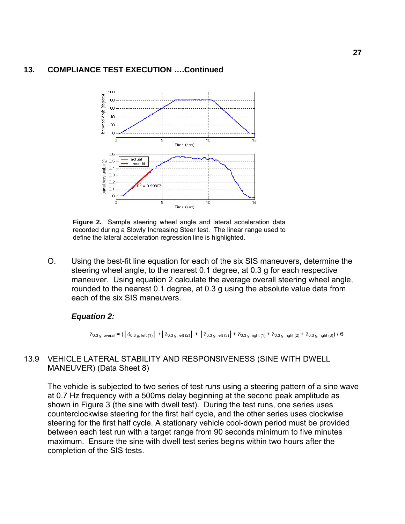

**Figure 2.** Sample steering wheel angle and lateral acceleration data recorded during a Slowly Increasing Steer test. The linear range used to define the lateral acceleration regression line is highlighted.

O. Using the best-fit line equation for each of the six SIS maneuvers, determine the steering wheel angle, to the nearest 0.1 degree, at 0.3 g for each respective maneuver. Using equation 2 calculate the average overall steering wheel angle, rounded to the nearest 0.1 degree, at 0.3 g using the absolute value data from each of the six SIS maneuvers.

#### *Equation 2:*

 $\delta_{0.3 \text{ q, overall}} = (\delta_{0.3 \text{ q, left (1)}} + \delta_{0.3 \text{ q, left (2)}} + \delta_{0.3 \text{ q, left (3)}} + \delta_{0.3 \text{ q, right (1)}} + \delta_{0.3 \text{ q, right (2)}} + \delta_{0.3 \text{ q, right (3)}}) / 6$ 

#### 13.9 VEHICLE LATERAL STABILITY AND RESPONSIVENESS (SINE WITH DWELL MANEUVER) (Data Sheet 8)

The vehicle is subjected to two series of test runs using a steering pattern of a sine wave at 0.7 Hz frequency with a 500ms delay beginning at the second peak amplitude as shown in Figure 3 (the sine with dwell test). During the test runs, one series uses counterclockwise steering for the first half cycle, and the other series uses clockwise steering for the first half cycle. A stationary vehicle cool-down period must be provided between each test run with a target range from 90 seconds minimum to five minutes maximum. Ensure the sine with dwell test series begins within two hours after the completion of the SIS tests.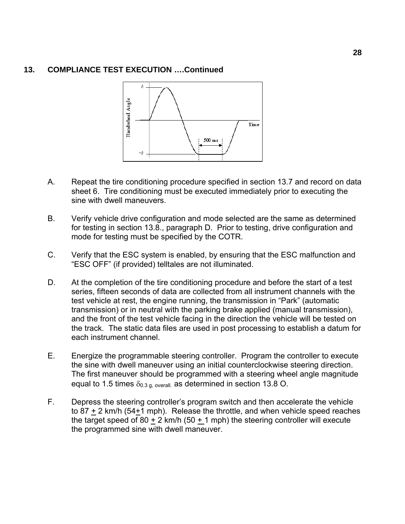

- A. Repeat the tire conditioning procedure specified in section 13.7 and record on data sheet 6. Tire conditioning must be executed immediately prior to executing the sine with dwell maneuvers.
- B. Verify vehicle drive configuration and mode selected are the same as determined for testing in section 13.8., paragraph D. Prior to testing, drive configuration and mode for testing must be specified by the COTR.
- C. Verify that the ESC system is enabled, by ensuring that the ESC malfunction and "ESC OFF" (if provided) telltales are not illuminated.
- D. At the completion of the tire conditioning procedure and before the start of a test series, fifteen seconds of data are collected from all instrument channels with the test vehicle at rest, the engine running, the transmission in "Park" (automatic transmission) or in neutral with the parking brake applied (manual transmission), and the front of the test vehicle facing in the direction the vehicle will be tested on the track. The static data files are used in post processing to establish a datum for each instrument channel.
- E. Energize the programmable steering controller. Program the controller to execute the sine with dwell maneuver using an initial counterclockwise steering direction. The first maneuver should be programmed with a steering wheel angle magnitude equal to 1.5 times  $\delta_{0.3 \text{ q, overall}}$  as determined in section 13.8 O.
- F. Depress the steering controller's program switch and then accelerate the vehicle to 87  $\pm$  2 km/h (54 $\pm$ 1 mph). Release the throttle, and when vehicle speed reaches the target speed of 80 + 2 km/h (50 + 1 mph) the steering controller will execute the programmed sine with dwell maneuver.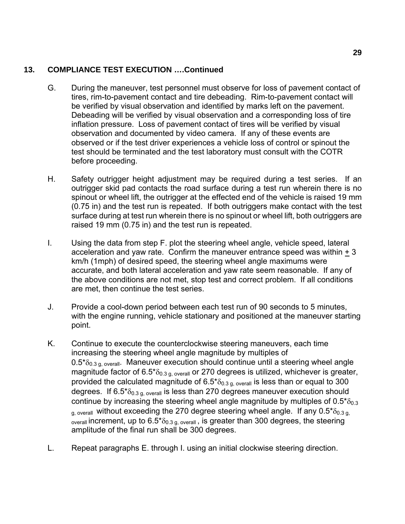- G. During the maneuver, test personnel must observe for loss of pavement contact of tires, rim-to-pavement contact and tire debeading. Rim-to-pavement contact will be verified by visual observation and identified by marks left on the pavement. Debeading will be verified by visual observation and a corresponding loss of tire inflation pressure. Loss of pavement contact of tires will be verified by visual observation and documented by video camera. If any of these events are observed or if the test driver experiences a vehicle loss of control or spinout the test should be terminated and the test laboratory must consult with the COTR before proceeding.
- H. Safety outrigger height adjustment may be required during a test series. If an outrigger skid pad contacts the road surface during a test run wherein there is no spinout or wheel lift, the outrigger at the effected end of the vehicle is raised 19 mm (0.75 in) and the test run is repeated. If both outriggers make contact with the test surface during at test run wherein there is no spinout or wheel lift, both outriggers are raised 19 mm (0.75 in) and the test run is repeated.
- I. Using the data from step F. plot the steering wheel angle, vehicle speed, lateral acceleration and yaw rate. Confirm the maneuver entrance speed was within + 3 km/h (1mph) of desired speed, the steering wheel angle maximums were accurate, and both lateral acceleration and yaw rate seem reasonable. If any of the above conditions are not met, stop test and correct problem. If all conditions are met, then continue the test series.
- J. Provide a cool-down period between each test run of 90 seconds to 5 minutes, with the engine running, vehicle stationary and positioned at the maneuver starting point.
- K. Continue to execute the counterclockwise steering maneuvers, each time increasing the steering wheel angle magnitude by multiples of  $0.5<sup>*</sup>  $\delta_{0.3 \text{ q. overall}}$ . *Maneuver execution should continue until a steering wheel angle*$ magnitude factor of  $6.5^{\ast}\delta_{0.3 \text{ q. overall}}$  or 270 degrees is utilized, whichever is greater, provided the calculated magnitude of  $6.5^{\circ}$ <sub>0.3 g, overall</sub> is less than or equal to 300 degrees. If  $6.5^* \delta_{0.3 \text{ q. overall}}$  is less than 270 degrees maneuver execution should continue by increasing the steering wheel angle magnitude by multiples of  $0.5^{*}\delta_{0.3}$  $_{q, overall}$  without exceeding the 270 degree steering wheel angle. If any 0.5 $*$  $\delta_{0.3 q}$  $_{\text{overall}}$  increment, up to 6.5 $\delta$ <sub>0.3 g, overall</sub>, is greater than 300 degrees, the steering amplitude of the final run shall be 300 degrees.
- L. Repeat paragraphs E. through I. using an initial clockwise steering direction.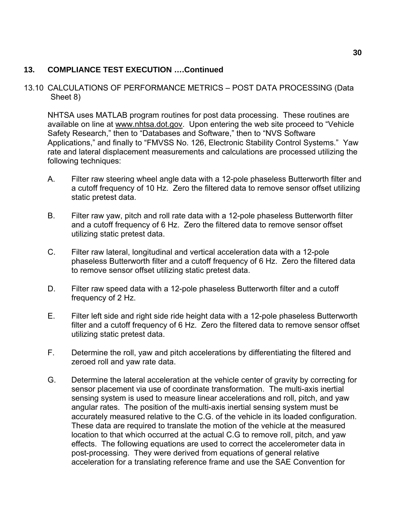## 13.10 CALCULATIONS OF PERFORMANCE METRICS – POST DATA PROCESSING (Data Sheet 8)

NHTSA uses MATLAB program routines for post data processing. These routines are available on line at [www.nhtsa.dot.gov.](http://www.nhtsa.dot.gov/) Upon entering the web site proceed to "Vehicle Safety Research," then to "Databases and Software," then to "NVS Software Applications," and finally to "FMVSS No. 126, Electronic Stability Control Systems." Yaw rate and lateral displacement measurements and calculations are processed utilizing the following techniques:

- A. Filter raw steering wheel angle data with a 12-pole phaseless Butterworth filter and a cutoff frequency of 10 Hz. Zero the filtered data to remove sensor offset utilizing static pretest data.
- B. Filter raw yaw, pitch and roll rate data with a 12-pole phaseless Butterworth filter and a cutoff frequency of 6 Hz. Zero the filtered data to remove sensor offset utilizing static pretest data.
- C. Filter raw lateral, longitudinal and vertical acceleration data with a 12-pole phaseless Butterworth filter and a cutoff frequency of 6 Hz. Zero the filtered data to remove sensor offset utilizing static pretest data.
- D. Filter raw speed data with a 12-pole phaseless Butterworth filter and a cutoff frequency of 2 Hz.
- E. Filter left side and right side ride height data with a 12-pole phaseless Butterworth filter and a cutoff frequency of 6 Hz. Zero the filtered data to remove sensor offset utilizing static pretest data.
- F. Determine the roll, yaw and pitch accelerations by differentiating the filtered and zeroed roll and yaw rate data.
- G. Determine the lateral acceleration at the vehicle center of gravity by correcting for sensor placement via use of coordinate transformation. The multi-axis inertial sensing system is used to measure linear accelerations and roll, pitch, and yaw angular rates. The position of the multi-axis inertial sensing system must be accurately measured relative to the C.G. of the vehicle in its loaded configuration. These data are required to translate the motion of the vehicle at the measured location to that which occurred at the actual C.G to remove roll, pitch, and yaw effects. The following equations are used to correct the accelerometer data in post-processing. They were derived from equations of general relative acceleration for a translating reference frame and use the SAE Convention for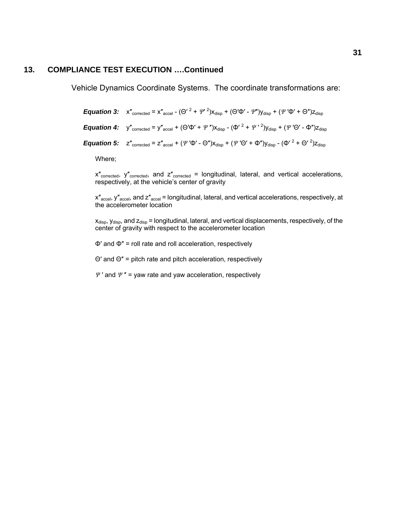Vehicle Dynamics Coordinate Systems. The coordinate transformations are:

*Equation 3:*  $x''_{\text{corrected}} = x''_{\text{accel}} - (\Theta'^{2} + \Psi'^{2})x_{\text{disp}} + (\Theta'\Phi' - \Psi'')y_{\text{disp}} + (\Psi'\Phi' + \Theta'')z_{\text{disp}}$ *Equation 4:*  $y''_{\text{corrected}} = y''_{\text{accel}} + (\Theta' \Phi' + \Psi'') x_{\text{disp}} - (\Phi' {^2 + \Psi'} {^2}) y_{\text{disp}} + (\Psi' \Theta' - \Phi'') z_{\text{disp}}$ *Equation 5:*  $z''_{\text{corrected}} = z''_{\text{accel}} + (\Psi' \Phi' - \Theta'') x_{\text{disp}} + (\Psi' \Theta' + \Phi'') y_{\text{disp}} - (\Phi' {^2} + \Theta' {^2}) z_{\text{disp}}$ 

Where;

 $x''_{\text{corrected}}$ ,  $y''_{\text{corrected}}$ , and  $z''_{\text{corrected}}$  = longitudinal, lateral, and vertical accelerations, respectively, at the vehicle's center of gravity

 $x''_{\text{accel}}$ ,  $y''_{\text{accel}}$ , and  $z''_{\text{accel}}$  = longitudinal, lateral, and vertical accelerations, respectively, at the accelerometer location

 $x_{\text{disp}}$ ,  $y_{\text{disp}}$ , and  $z_{\text{disp}}$  = longitudinal, lateral, and vertical displacements, respectively, of the center of gravity with respect to the accelerometer location

Φ′ and Φ″ = roll rate and roll acceleration, respectively

Θ′ and Θ″ = pitch rate and pitch acceleration, respectively

*Ψ* ′ and *Ψ* ″ = yaw rate and yaw acceleration, respectively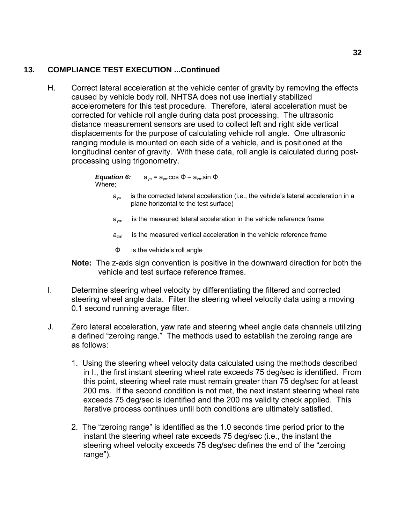H. Correct lateral acceleration at the vehicle center of gravity by removing the effects caused by vehicle body roll. NHTSA does not use inertially stabilized accelerometers for this test procedure. Therefore, lateral acceleration must be corrected for vehicle roll angle during data post processing. The ultrasonic distance measurement sensors are used to collect left and right side vertical displacements for the purpose of calculating vehicle roll angle. One ultrasonic ranging module is mounted on each side of a vehicle, and is positioned at the longitudinal center of gravity. With these data, roll angle is calculated during postprocessing using trigonometry.

> *Equation 6:*  Where;  $a_{\text{vc}} = a_{\text{vm}} \cos \Phi - a_{\text{zm}} \sin \Phi$

- $a_{\rm vc}$  is the corrected lateral acceleration (i.e., the vehicle's lateral acceleration in a plane horizontal to the test surface)
- $a_{\text{vm}}$  is the measured lateral acceleration in the vehicle reference frame
- $a_{zm}$  is the measured vertical acceleration in the vehicle reference frame
- Φ is the vehicle's roll angle

**Note:** The z-axis sign convention is positive in the downward direction for both the vehicle and test surface reference frames.

- I. Determine steering wheel velocity by differentiating the filtered and corrected steering wheel angle data. Filter the steering wheel velocity data using a moving 0.1 second running average filter.
- J. Zero lateral acceleration, yaw rate and steering wheel angle data channels utilizing a defined "zeroing range." The methods used to establish the zeroing range are as follows:
	- 1. Using the steering wheel velocity data calculated using the methods described in I., the first instant steering wheel rate exceeds 75 deg/sec is identified. From this point, steering wheel rate must remain greater than 75 deg/sec for at least 200 ms. If the second condition is not met, the next instant steering wheel rate exceeds 75 deg/sec is identified and the 200 ms validity check applied. This iterative process continues until both conditions are ultimately satisfied.
	- 2. The "zeroing range" is identified as the 1.0 seconds time period prior to the instant the steering wheel rate exceeds 75 deg/sec (i.e., the instant the steering wheel velocity exceeds 75 deg/sec defines the end of the "zeroing range").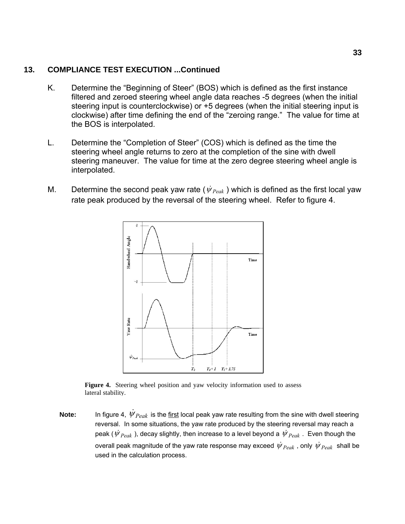#### **13. COMPLIANCE TEST EXECUTION ...Continued**

- K. Determine the "Beginning of Steer" (BOS) which is defined as the first instance filtered and zeroed steering wheel angle data reaches -5 degrees (when the initial steering input is counterclockwise) or +5 degrees (when the initial steering input is clockwise) after time defining the end of the "zeroing range." The value for time at the BOS is interpolated.
- L. Determine the "Completion of Steer" (COS) which is defined as the time the steering wheel angle returns to zero at the completion of the sine with dwell steering maneuver. The value for time at the zero degree steering wheel angle is interpolated.
- M. Determine the second peak yaw rate ( $\dot{\psi}_{\text{Peak}}$ ) which is defined as the first local yaw rate peak produced by the reversal of the steering wheel. Refer to figure 4.



Figure 4. Steering wheel position and yaw velocity information used to assess lateral stability.

**Note:** In figure 4,  $\dot{\psi}_{Peak}$  is the first local peak yaw rate resulting from the sine with dwell steering reversal. In some situations, the yaw rate produced by the steering reversal may reach a peak ( $\dot{\psi}_{Peak}$ ), decay slightly, then increase to a level beyond a  $\dot{\psi}_{Peak}$ . Even though the overall peak magnitude of the yaw rate response may exceed  $\psi_{Peak}$ , only  $\psi_{Peak}$  shall be used in the calculation process.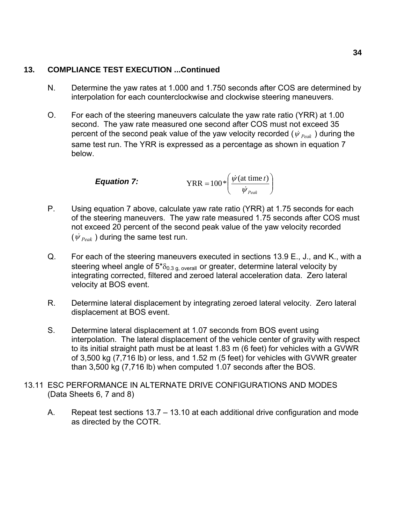### **13. COMPLIANCE TEST EXECUTION ...Continued**

- N. Determine the yaw rates at 1.000 and 1.750 seconds after COS are determined by interpolation for each counterclockwise and clockwise steering maneuvers.
- O. For each of the steering maneuvers calculate the yaw rate ratio (YRR) at 1.00 second. The yaw rate measured one second after COS must not exceed 35 percent of the second peak value of the yaw velocity recorded ( $\psi_{\text{Peak}}$ ) during the same test run. The YRR is expressed as a percentage as shown in equation 7 below.

**Equation 7:** 
$$
YRR = 100 * \left( \frac{\dot{\psi}(\text{at time } t)}{\dot{\psi}_{\text{Peak}}} \right)
$$

- P. Using equation 7 above, calculate yaw rate ratio (YRR) at 1.75 seconds for each of the steering maneuvers. The yaw rate measured 1.75 seconds after COS must not exceed 20 percent of the second peak value of the yaw velocity recorded  $(\psi_{\text{Peak}})$  during the same test run.
- Q. For each of the steering maneuvers executed in sections 13.9 E., J., and K., with a steering wheel angle of  $5^{\ast}\delta_{0.3 \text{ g. overall}}$  or greater, determine lateral velocity by integrating corrected, filtered and zeroed lateral acceleration data. Zero lateral velocity at BOS event.
- R. Determine lateral displacement by integrating zeroed lateral velocity. Zero lateral displacement at BOS event.
- S. Determine lateral displacement at 1.07 seconds from BOS event using interpolation. The lateral displacement of the vehicle center of gravity with respect to its initial straight path must be at least 1.83 m (6 feet) for vehicles with a GVWR of 3,500 kg (7,716 lb) or less, and 1.52 m (5 feet) for vehicles with GVWR greater than 3,500 kg (7,716 lb) when computed 1.07 seconds after the BOS.
- 13.11 ESC PERFORMANCE IN ALTERNATE DRIVE CONFIGURATIONS AND MODES (Data Sheets 6, 7 and 8)
	- A. Repeat test sections 13.7 13.10 at each additional drive configuration and mode as directed by the COTR.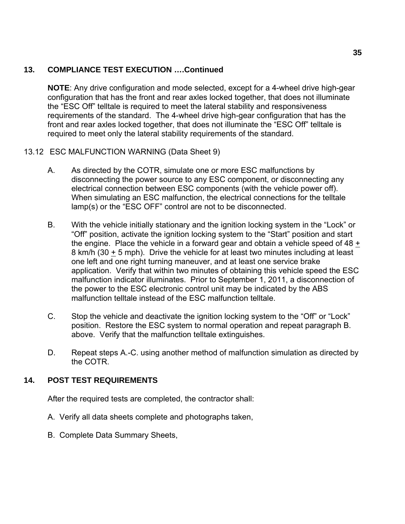# **13. COMPLIANCE TEST EXECUTION ….Continued**

**NOTE**: Any drive configuration and mode selected, except for a 4-wheel drive high-gear configuration that has the front and rear axles locked together, that does not illuminate the "ESC Off" telltale is required to meet the lateral stability and responsiveness requirements of the standard. The 4-wheel drive high-gear configuration that has the front and rear axles locked together, that does not illuminate the "ESC Off" telltale is required to meet only the lateral stability requirements of the standard.

#### 13.12 ESC MALFUNCTION WARNING (Data Sheet 9)

- A. As directed by the COTR, simulate one or more ESC malfunctions by disconnecting the power source to any ESC component, or disconnecting any electrical connection between ESC components (with the vehicle power off). When simulating an ESC malfunction, the electrical connections for the telltale lamp(s) or the "ESC OFF" control are not to be disconnected.
- B. With the vehicle initially stationary and the ignition locking system in the "Lock" or "Off" position, activate the ignition locking system to the "Start" position and start the engine. Place the vehicle in a forward gear and obtain a vehicle speed of  $48 +$ 8 km/h (30 + 5 mph). Drive the vehicle for at least two minutes including at least one left and one right turning maneuver, and at least one service brake application. Verify that within two minutes of obtaining this vehicle speed the ESC malfunction indicator illuminates. Prior to September 1, 2011, a disconnection of the power to the ESC electronic control unit may be indicated by the ABS malfunction telltale instead of the ESC malfunction telltale.
- C. Stop the vehicle and deactivate the ignition locking system to the "Off" or "Lock" position. Restore the ESC system to normal operation and repeat paragraph B. above. Verify that the malfunction telltale extinguishes.
- D. Repeat steps A.-C. using another method of malfunction simulation as directed by the COTR.

# **14. POST TEST REQUIREMENTS**

After the required tests are completed, the contractor shall:

- A. Verify all data sheets complete and photographs taken,
- B. Complete Data Summary Sheets,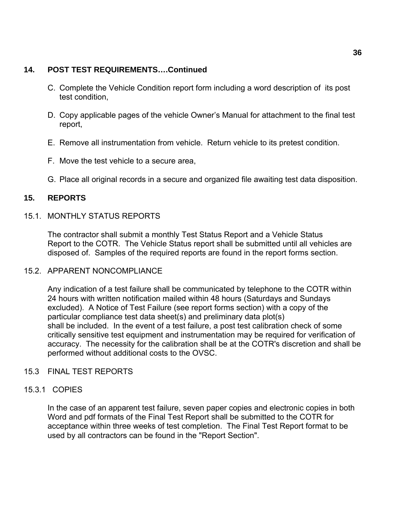#### **14. POST TEST REQUIREMENTS….Continued**

- C. Complete the Vehicle Condition report form including a word description of its post test condition,
- D. Copy applicable pages of the vehicle Owner's Manual for attachment to the final test report,
- E. Remove all instrumentation from vehicle. Return vehicle to its pretest condition.
- F. Move the test vehicle to a secure area,
- G. Place all original records in a secure and organized file awaiting test data disposition.

# **15. REPORTS**

#### 15.1. MONTHLY STATUS REPORTS

The contractor shall submit a monthly Test Status Report and a Vehicle Status Report to the COTR. The Vehicle Status report shall be submitted until all vehicles are disposed of. Samples of the required reports are found in the report forms section.

#### 15.2. APPARENT NONCOMPLIANCE

Any indication of a test failure shall be communicated by telephone to the COTR within 24 hours with written notification mailed within 48 hours (Saturdays and Sundays excluded). A Notice of Test Failure (see report forms section) with a copy of the particular compliance test data sheet(s) and preliminary data plot(s) shall be included. In the event of a test failure, a post test calibration check of some critically sensitive test equipment and instrumentation may be required for verification of accuracy. The necessity for the calibration shall be at the COTR's discretion and shall be performed without additional costs to the OVSC.

#### 15.3 FINAL TEST REPORTS

#### 15.3.1 COPIES

In the case of an apparent test failure, seven paper copies and electronic copies in both Word and pdf formats of the Final Test Report shall be submitted to the COTR for acceptance within three weeks of test completion. The Final Test Report format to be used by all contractors can be found in the "Report Section".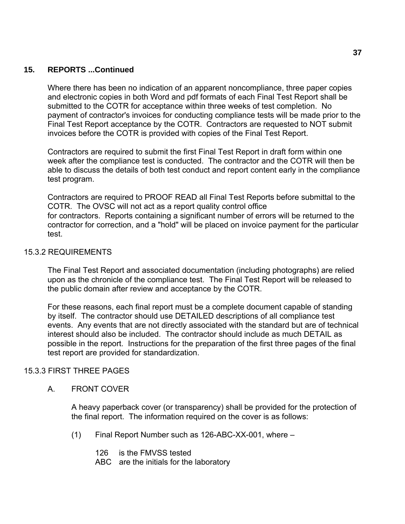Where there has been no indication of an apparent noncompliance, three paper copies and electronic copies in both Word and pdf formats of each Final Test Report shall be submitted to the COTR for acceptance within three weeks of test completion. No payment of contractor's invoices for conducting compliance tests will be made prior to the Final Test Report acceptance by the COTR. Contractors are requested to NOT submit invoices before the COTR is provided with copies of the Final Test Report.

Contractors are required to submit the first Final Test Report in draft form within one week after the compliance test is conducted. The contractor and the COTR will then be able to discuss the details of both test conduct and report content early in the compliance test program.

Contractors are required to PROOF READ all Final Test Reports before submittal to the COTR. The OVSC will not act as a report quality control office for contractors. Reports containing a significant number of errors will be returned to the contractor for correction, and a "hold" will be placed on invoice payment for the particular test.

#### 15.3.2 REQUIREMENTS

The Final Test Report and associated documentation (including photographs) are relied upon as the chronicle of the compliance test. The Final Test Report will be released to the public domain after review and acceptance by the COTR.

For these reasons, each final report must be a complete document capable of standing by itself. The contractor should use DETAILED descriptions of all compliance test events. Any events that are not directly associated with the standard but are of technical interest should also be included. The contractor should include as much DETAIL as possible in the report. Instructions for the preparation of the first three pages of the final test report are provided for standardization.

#### 15.3.3 FIRST THREE PAGES

A. FRONT COVER

A heavy paperback cover (or transparency) shall be provided for the protection of the final report. The information required on the cover is as follows:

(1) Final Report Number such as 126-ABC-XX-001, where –

126 is the FMVSS tested

ABC are the initials for the laboratory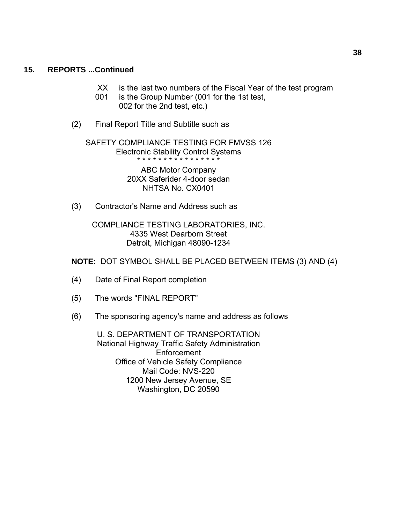- XX is the last two numbers of the Fiscal Year of the test program
- 001 is the Group Number (001 for the 1st test, 002 for the 2nd test, etc.)
- (2) Final Report Title and Subtitle such as

 SAFETY COMPLIANCE TESTING FOR FMVSS 126 Electronic Stability Control Systems \* \* \* \* \* \* \* \* \* \* \* \* \* \* \* \*

> ABC Motor Company 20XX Saferider 4-door sedan NHTSA No. CX0401

(3) Contractor's Name and Address such as

 COMPLIANCE TESTING LABORATORIES, INC. 4335 West Dearborn Street Detroit, Michigan 48090-1234

**NOTE:** DOT SYMBOL SHALL BE PLACED BETWEEN ITEMS (3) AND (4)

- (4) Date of Final Report completion
- (5) The words "FINAL REPORT"
- (6) The sponsoring agency's name and address as follows

 U. S. DEPARTMENT OF TRANSPORTATION National Highway Traffic Safety Administration Enforcement Office of Vehicle Safety Compliance Mail Code: NVS-220 1200 New Jersey Avenue, SE Washington, DC 20590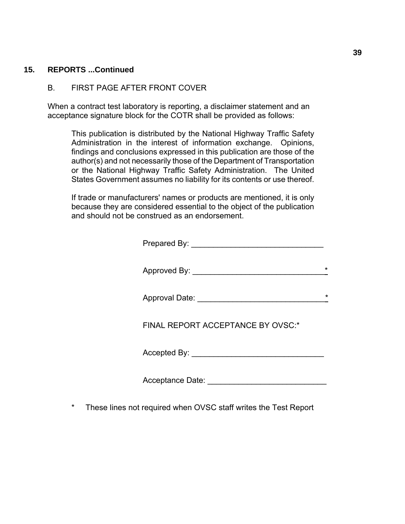#### B. FIRST PAGE AFTER FRONT COVER

When a contract test laboratory is reporting, a disclaimer statement and an acceptance signature block for the COTR shall be provided as follows:

This publication is distributed by the National Highway Traffic Safety Administration in the interest of information exchange. Opinions, findings and conclusions expressed in this publication are those of the author(s) and not necessarily those of the Department of Transportation or the National Highway Traffic Safety Administration. The United States Government assumes no liability for its contents or use thereof.

If trade or manufacturers' names or products are mentioned, it is only because they are considered essential to the object of the publication and should not be construed as an endorsement.

Prepared By: \_\_\_\_\_\_\_\_\_\_\_\_\_\_\_\_\_\_\_\_\_\_\_\_\_\_\_\_\_\_

Approved By:

Approval Date:  $\rightarrow$ 

FINAL REPORT ACCEPTANCE BY OVSC:\*

Accepted By:

Acceptance Date: \_\_\_\_\_\_\_\_\_\_\_\_\_\_\_\_\_\_\_\_\_\_\_\_\_\_\_

\* These lines not required when OVSC staff writes the Test Report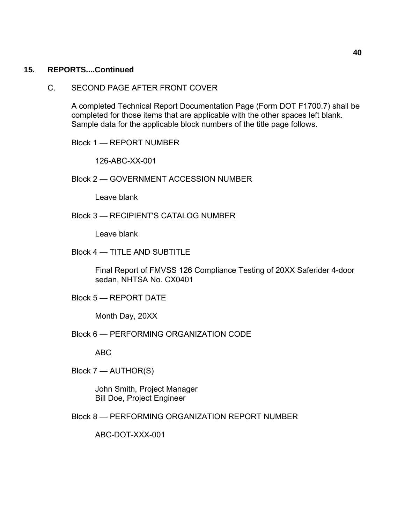C. SECOND PAGE AFTER FRONT COVER

A completed Technical Report Documentation Page (Form DOT F1700.7) shall be completed for those items that are applicable with the other spaces left blank. Sample data for the applicable block numbers of the title page follows.

Block 1 — REPORT NUMBER

126-ABC-XX-001

Block 2 — GOVERNMENT ACCESSION NUMBER

Leave blank

Block 3 — RECIPIENT'S CATALOG NUMBER

Leave blank

Block 4 — TITLE AND SUBTITLE

Final Report of FMVSS 126 Compliance Testing of 20XX Saferider 4-door sedan, NHTSA No. CX0401

Block 5 — REPORT DATE

Month Day, 20XX

Block 6 — PERFORMING ORGANIZATION CODE

ABC

Block 7 — AUTHOR(S)

John Smith, Project Manager Bill Doe, Project Engineer

Block 8 — PERFORMING ORGANIZATION REPORT NUMBER

ABC-DOT-XXX-001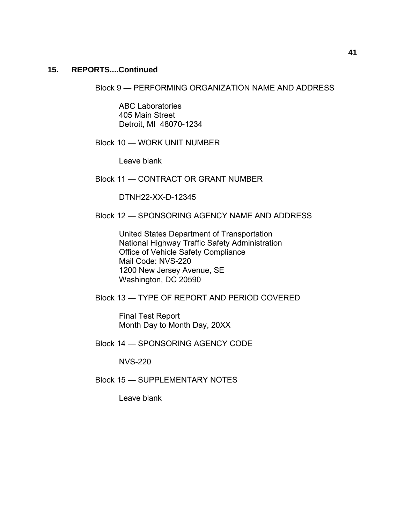Block 9 — PERFORMING ORGANIZATION NAME AND ADDRESS

ABC Laboratories 405 Main Street Detroit, MI 48070-1234

Block 10 — WORK UNIT NUMBER

Leave blank

Block 11 — CONTRACT OR GRANT NUMBER

DTNH22-XX-D-12345

Block 12 — SPONSORING AGENCY NAME AND ADDRESS

United States Department of Transportation National Highway Traffic Safety Administration Office of Vehicle Safety Compliance Mail Code: NVS-220 1200 New Jersey Avenue, SE Washington, DC 20590

Block 13 — TYPE OF REPORT AND PERIOD COVERED

Final Test Report Month Day to Month Day, 20XX

Block 14 — SPONSORING AGENCY CODE

NVS-220

Block 15 — SUPPLEMENTARY NOTES

Leave blank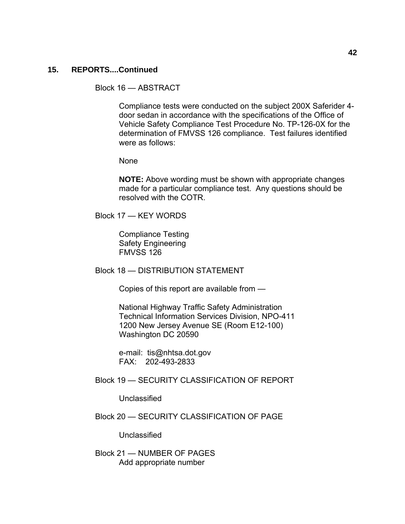Block 16 — ABSTRACT

Compliance tests were conducted on the subject 200X Saferider 4 door sedan in accordance with the specifications of the Office of Vehicle Safety Compliance Test Procedure No. TP-126-0X for the determination of FMVSS 126 compliance. Test failures identified were as follows:

None

**NOTE:** Above wording must be shown with appropriate changes made for a particular compliance test. Any questions should be resolved with the COTR.

Block 17 — KEY WORDS

Compliance Testing Safety Engineering FMVSS 126

Block 18 — DISTRIBUTION STATEMENT

Copies of this report are available from —

National Highway Traffic Safety Administration Technical Information Services Division, NPO-411 1200 New Jersey Avenue SE (Room E12-100) Washington DC 20590

e-mail: tis@nhtsa.dot.gov FAX: 202-493-2833

Block 19 — SECURITY CLASSIFICATION OF REPORT

Unclassified

Block 20 — SECURITY CLASSIFICATION OF PAGE

Unclassified

Block 21 — NUMBER OF PAGES Add appropriate number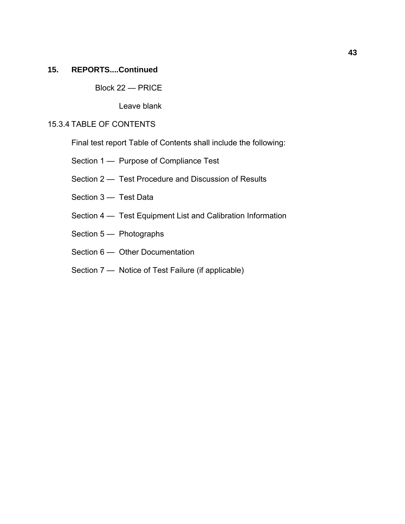Block 22 — PRICE

Leave blank

#### 15.3.4 TABLE OF CONTENTS

Final test report Table of Contents shall include the following:

- Section 1 Purpose of Compliance Test
- Section 2 Test Procedure and Discussion of Results
- Section 3 Test Data
- Section 4 Test Equipment List and Calibration Information
- Section 5 Photographs
- Section 6 Other Documentation
- Section 7 Notice of Test Failure (if applicable)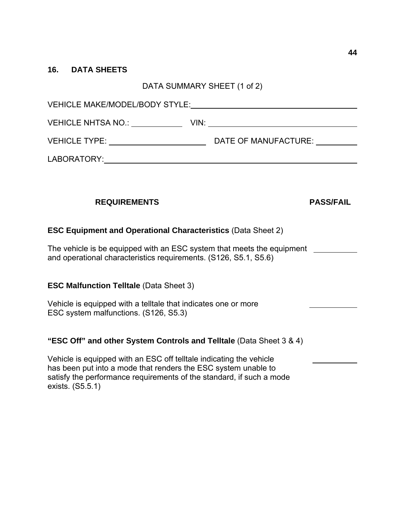#### **16. DATA SHEETS**

### DATA SUMMARY SHEET (1 of 2)

| <b>VEHICLE MAKE/MODEL/BODY STYLE:</b> |      |                      |  |  |
|---------------------------------------|------|----------------------|--|--|
| <b>VEHICLE NHTSA NO.:</b>             | VIN: |                      |  |  |
| <b>VEHICLE TYPE:</b>                  |      | DATE OF MANUFACTURE: |  |  |
| LABORATORY:                           |      |                      |  |  |

# **REQUIREMENTS PASS/FAIL**

# **ESC Equipment and Operational Characteristics** (Data Sheet 2)

The vehicle is be equipped with an ESC system that meets the equipment and operational characteristics requirements. (S126, S5.1, S5.6)

#### **ESC Malfunction Telltale** (Data Sheet 3)

Vehicle is equipped with a telltale that indicates one or more ESC system malfunctions. (S126, S5.3)

#### **"ESC Off" and other System Controls and Telltale** (Data Sheet 3 & 4)

Vehicle is equipped with an ESC off telltale indicating the vehicle has been put into a mode that renders the ESC system unable to satisfy the performance requirements of the standard, if such a mode exists. (S5.5.1)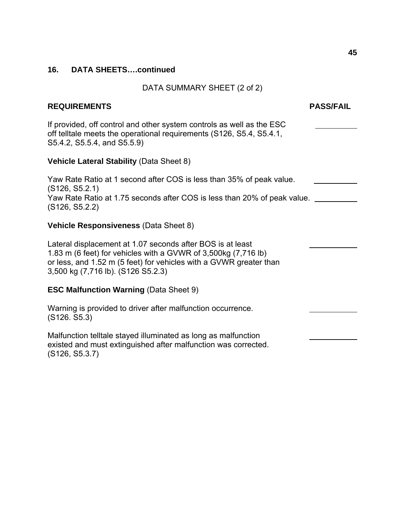#### DATA SUMMARY SHEET (2 of 2)

### **REQUIREMENTS PASS/FAIL**

If provided, off control and other system controls as well as the ESC off telltale meets the operational requirements (S126, S5.4, S5.4.1, S5.4.2, S5.5.4, and S5.5.9)

#### **Vehicle Lateral Stability** (Data Sheet 8)

Yaw Rate Ratio at 1 second after COS is less than 35% of peak value. (S126, S5.2.1) Yaw Rate Ratio at 1.75 seconds after COS is less than 20% of peak value. (S126, S5.2.2)

# **Vehicle Responsiveness** (Data Sheet 8)

Lateral displacement at 1.07 seconds after BOS is at least 1.83 m (6 feet) for vehicles with a GVWR of 3,500kg (7,716 lb) or less, and 1.52 m (5 feet) for vehicles with a GVWR greater than 3,500 kg (7,716 lb). (S126 S5.2.3)

#### **ESC Malfunction Warning** (Data Sheet 9)

Warning is provided to driver after malfunction occurrence. (S126. S5.3)

Malfunction telltale stayed illuminated as long as malfunction existed and must extinguished after malfunction was corrected. (S126, S5.3.7)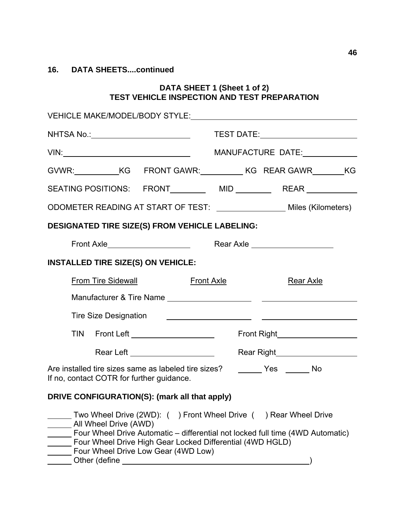#### **DATA SHEET 1 (Sheet 1 of 2) TEST VEHICLE INSPECTION AND TEST PREPARATION**

|                                                                                                                                                                                                                                                                                                                                                                                                                                     | MANUFACTURE DATE:                                                              |
|-------------------------------------------------------------------------------------------------------------------------------------------------------------------------------------------------------------------------------------------------------------------------------------------------------------------------------------------------------------------------------------------------------------------------------------|--------------------------------------------------------------------------------|
|                                                                                                                                                                                                                                                                                                                                                                                                                                     |                                                                                |
|                                                                                                                                                                                                                                                                                                                                                                                                                                     | SEATING POSITIONS: FRONT__________ MID __________ REAR ___________             |
| ODOMETER READING AT START OF TEST: ______________________ Miles (Kilometers)                                                                                                                                                                                                                                                                                                                                                        |                                                                                |
| <b>DESIGNATED TIRE SIZE(S) FROM VEHICLE LABELING:</b>                                                                                                                                                                                                                                                                                                                                                                               |                                                                                |
|                                                                                                                                                                                                                                                                                                                                                                                                                                     | Rear Axle ______________________                                               |
| <b>INSTALLED TIRE SIZE(S) ON VEHICLE:</b>                                                                                                                                                                                                                                                                                                                                                                                           |                                                                                |
| <b>From Tire Sidewall</b>                                                                                                                                                                                                                                                                                                                                                                                                           | Front Axle<br><b>Rear Axle</b>                                                 |
|                                                                                                                                                                                                                                                                                                                                                                                                                                     |                                                                                |
| Tire Size Designation                                                                                                                                                                                                                                                                                                                                                                                                               | <u> 1980 - Jan Stein Stein, fransk politik (d. 1980)</u>                       |
| TIN Front Left ______________________                                                                                                                                                                                                                                                                                                                                                                                               |                                                                                |
| Rear Left ______________________                                                                                                                                                                                                                                                                                                                                                                                                    |                                                                                |
| Are installed tire sizes same as labeled tire sizes? _______ Yes ______ No<br>If no, contact COTR for further guidance.                                                                                                                                                                                                                                                                                                             |                                                                                |
| DRIVE CONFIGURATION(S): (mark all that apply)                                                                                                                                                                                                                                                                                                                                                                                       |                                                                                |
| __ Two Wheel Drive (2WD): ( ) Front Wheel Drive ( ) Rear Wheel Drive<br>All Wheel Drive (AWD)<br>Four Wheel Drive High Gear Locked Differential (4WD HGLD)<br>Four Wheel Drive Low Gear (4WD Low)<br>Other (define and a state of the state of the state of the state of the state of the state of the state of the state of the state of the state of the state of the state of the state of the state of the state of the state o | Four Wheel Drive Automatic - differential not locked full time (4WD Automatic) |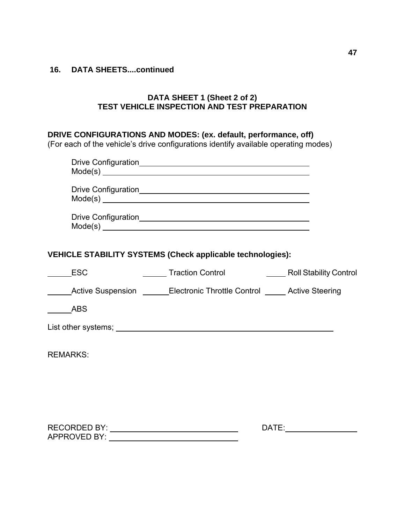# **DATA SHEET 1 (Sheet 2 of 2) TEST VEHICLE INSPECTION AND TEST PREPARATION**

# **DRIVE CONFIGURATIONS AND MODES: (ex. default, performance, off)**

(For each of the vehicle's drive configurations identify available operating modes)

|                     | $Mode(s)$ $\qquad$                                                            |  |
|---------------------|-------------------------------------------------------------------------------|--|
|                     |                                                                               |  |
|                     | $\text{Mode}(s) \xrightarrow{\hspace{5mm}}$                                   |  |
|                     | $Mode(s)$ $\qquad \qquad$                                                     |  |
|                     | VEHICLE STABILITY SYSTEMS (Check applicable technologies):                    |  |
| <b>ESC</b>          |                                                                               |  |
|                     | <b>Electronic Throttle Control Continuity Active Steering</b> Active Steering |  |
|                     |                                                                               |  |
|                     |                                                                               |  |
| <b>REMARKS:</b>     |                                                                               |  |
|                     |                                                                               |  |
|                     |                                                                               |  |
|                     |                                                                               |  |
| <b>APPROVED BY:</b> |                                                                               |  |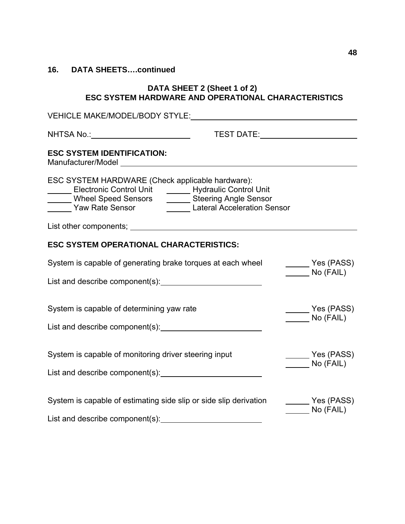#### **DATA SHEET 2 (Sheet 1 of 2) ESC SYSTEM HARDWARE AND OPERATIONAL CHARACTERISTICS**

| Yes (PASS)<br>No (FAIL)                                        |
|----------------------------------------------------------------|
|                                                                |
| Yes (PASS)<br>$No$ (FAIL)                                      |
|                                                                |
| Yes (PASS)<br>______ No (FAIL)                                 |
| $\frac{1}{2}$ Yes (PASS)<br>$\overline{\phantom{a}}$ No (FAIL) |
|                                                                |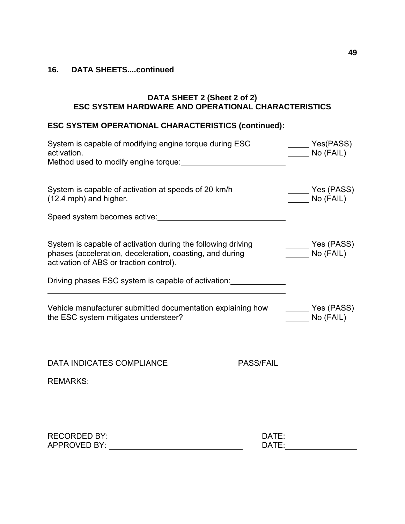#### **DATA SHEET 2 (Sheet 2 of 2) ESC SYSTEM HARDWARE AND OPERATIONAL CHARACTERISTICS**

# **ESC SYSTEM OPERATIONAL CHARACTERISTICS (continued):**

| System is capable of modifying engine torque during ESC<br>activation.<br>Method used to modify engine torque:                                                      | Yes(PASS)<br>No (FAIL)                                                        |
|---------------------------------------------------------------------------------------------------------------------------------------------------------------------|-------------------------------------------------------------------------------|
| System is capable of activation at speeds of 20 km/h<br>(12.4 mph) and higher.                                                                                      | Yes (PASS)<br>No (FAIL)                                                       |
| Speed system becomes active: <u>contained</u> and the system becomes active:                                                                                        |                                                                               |
| System is capable of activation during the following driving<br>phases (acceleration, deceleration, coasting, and during<br>activation of ABS or traction control). | Yes (PASS)<br>$\qquad \qquad$ No (FAIL)                                       |
| Driving phases ESC system is capable of activation:                                                                                                                 |                                                                               |
| Vehicle manufacturer submitted documentation explaining how<br>the ESC system mitigates understeer?                                                                 | $\rule{1em}{0.15mm}$ Yes (PASS)<br>$\frac{1}{\sqrt{1-\frac{1}{2}}}$ No (FAIL) |
| <b>DATA INDICATES COMPLIANCE</b>                                                                                                                                    | <b>PASS/FAIL</b>                                                              |
| <b>REMARKS:</b>                                                                                                                                                     |                                                                               |
|                                                                                                                                                                     |                                                                               |
| DATE:                                                                                                                                                               |                                                                               |
| <b>APPROVED BY:</b><br>DATE:                                                                                                                                        |                                                                               |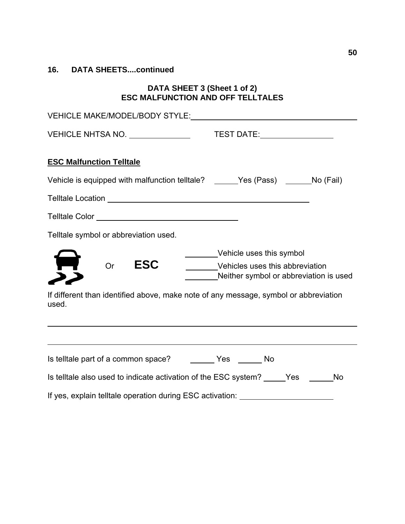# **DATA SHEET 3 (Sheet 1 of 2) ESC MALFUNCTION AND OFF TELLTALES**

| VEHICLE MAKE/MODEL/BODY STYLE: VEHICLE MAKE/MODEL/BODY STYLE:                                                                                    |  |  |
|--------------------------------------------------------------------------------------------------------------------------------------------------|--|--|
|                                                                                                                                                  |  |  |
| <b>ESC Malfunction Telltale</b>                                                                                                                  |  |  |
| Vehicle is equipped with malfunction telltale? ______Yes (Pass) ______No (Fail)                                                                  |  |  |
|                                                                                                                                                  |  |  |
| Telltale symbol or abbreviation used.                                                                                                            |  |  |
| ________Vehicle uses this symbol<br><b>ESC</b><br><b>Or</b><br>________Vehicles uses this abbreviation<br>Neither symbol or abbreviation is used |  |  |
| If different than identified above, make note of any message, symbol or abbreviation<br>used.                                                    |  |  |
| ,我们也不会有什么。""我们的人,我们也不会有什么?""我们的人,我们也不会有什么?""我们的人,我们也不会有什么?""我们的人,我们也不会有什么?""我们的人                                                                 |  |  |
| Is telltale part of a common space? __________ Yes _______ No                                                                                    |  |  |
| Is telltale also used to indicate activation of the ESC system? _____Yes ______<br><b>No</b>                                                     |  |  |
| If yes, explain telltale operation during ESC activation: ______________________                                                                 |  |  |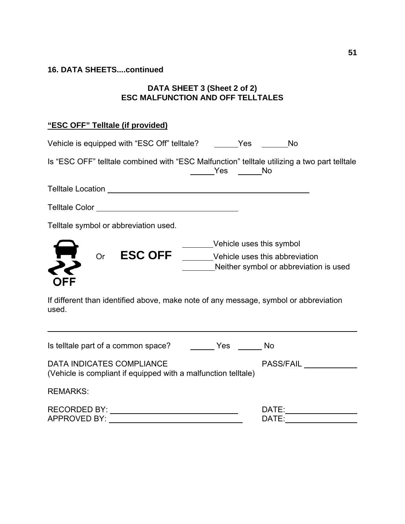# **DATA SHEET 3 (Sheet 2 of 2) ESC MALFUNCTION AND OFF TELLTALES**

# **"ESC OFF" Telltale (if provided)**

| Vehicle is equipped with "ESC Off" telltale? ________Yes ________No                                |                                        |                                                                           |
|----------------------------------------------------------------------------------------------------|----------------------------------------|---------------------------------------------------------------------------|
| Is "ESC OFF" telltale combined with "ESC Malfunction" telltale utilizing a two part telltale       | <b>Sand Stringer Stringer Stringer</b> |                                                                           |
|                                                                                                    |                                        |                                                                           |
|                                                                                                    |                                        |                                                                           |
| Telltale symbol or abbreviation used.                                                              |                                        |                                                                           |
| ESC OFF ______Vehicle uses this abbreviation<br>Or<br>OFF                                          |                                        | _______Vehicle uses this symbol<br>Neither symbol or abbreviation is used |
| If different than identified above, make note of any message, symbol or abbreviation<br>used.      |                                        |                                                                           |
|                                                                                                    |                                        |                                                                           |
| <b>DATA INDICATES COMPLIANCE</b><br>(Vehicle is compliant if equipped with a malfunction telltale) |                                        | <b>PASS/FAIL</b>                                                          |
| <b>REMARKS:</b>                                                                                    |                                        |                                                                           |
| <b>RECORDED BY:</b>                                                                                |                                        | DATE:                                                                     |

APPROVED BY:DATE: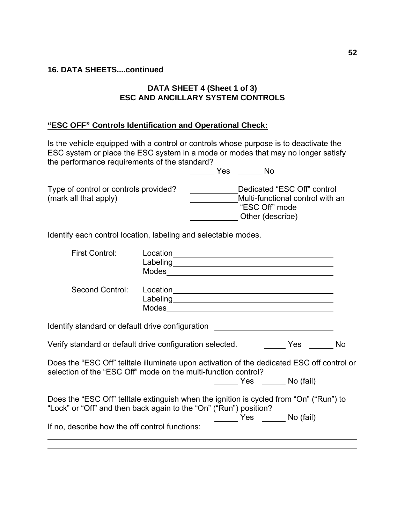## **DATA SHEET 4 (Sheet 1 of 3) ESC AND ANCILLARY SYSTEM CONTROLS**

# **"ESC OFF" Controls Identification and Operational Check:**

Is the vehicle equipped with a control or controls whose purpose is to deactivate the ESC system or place the ESC system in a mode or modes that may no longer satisfy the performance requirements of the standard?

**No. 1. In the Yes** No. 2016 Type of control or controls provided? Dedicated "ESC Off" control (mark all that apply)  $Multi$ -functional control with an "ESC Off" mode Other (describe)

Identify each control location, labeling and selectable modes.

| First Control:                                 |                                                                                                                                                                                                                                |  |
|------------------------------------------------|--------------------------------------------------------------------------------------------------------------------------------------------------------------------------------------------------------------------------------|--|
| Second Control:                                | Labeling experience and the contract of the contract of the contract of the contract of the contract of the contract of the contract of the contract of the contract of the contract of the contract of the contract of the co |  |
|                                                | Identify standard or default drive configuration [198] [198] [198] [198] [198] [198] [198] [198] [198] [198] [                                                                                                                 |  |
|                                                | Verify standard or default drive configuration selected. The Case Community Mo                                                                                                                                                 |  |
|                                                | Does the "ESC Off" telltale illuminate upon activation of the dedicated ESC off control or<br>selection of the "ESC Off" mode on the multi-function control?<br>Yes No (fail)                                                  |  |
|                                                | Does the "ESC Off" telltale extinguish when the ignition is cycled from "On" ("Run") to<br>"Lock" or "Off" and then back again to the "On" ("Run") position?<br>No (fail)                                                      |  |
| If no, describe how the off control functions: |                                                                                                                                                                                                                                |  |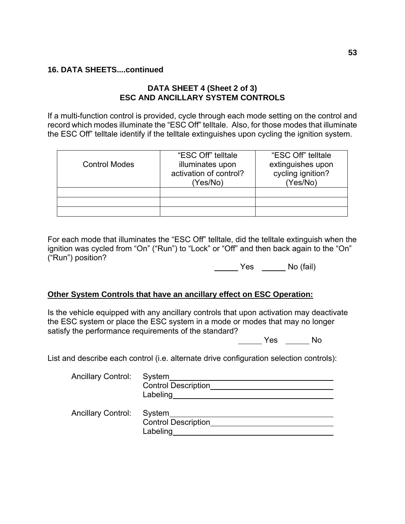# **DATA SHEET 4 (Sheet 2 of 3) ESC AND ANCILLARY SYSTEM CONTROLS**

If a multi-function control is provided, cycle through each mode setting on the control and record which modes illuminate the "ESC Off" telltale. Also, for those modes that illuminate the ESC Off" telltale identify if the telltale extinguishes upon cycling the ignition system.

| <b>Control Modes</b> | "ESC Off" telltale<br>illuminates upon<br>activation of control?<br>(Yes/No) | "ESC Off" telltale<br>extinguishes upon<br>cycling ignition?<br>(Yes/No) |
|----------------------|------------------------------------------------------------------------------|--------------------------------------------------------------------------|
|                      |                                                                              |                                                                          |
|                      |                                                                              |                                                                          |
|                      |                                                                              |                                                                          |

For each mode that illuminates the "ESC Off" telltale, did the telltale extinguish when the ignition was cycled from "On" ("Run") to "Lock" or "Off" and then back again to the "On" ("Run") position?

No (fail)

#### **Other System Controls that have an ancillary effect on ESC Operation:**

Is the vehicle equipped with any ancillary controls that upon activation may deactivate the ESC system or place the ESC system in a mode or modes that may no longer satisfy the performance requirements of the standard?

Yes No

List and describe each control (i.e. alternate drive configuration selection controls):

| <b>Ancillary Control:</b> | System<br><b>Control Description</b><br>Labeling |
|---------------------------|--------------------------------------------------|
| <b>Ancillary Control:</b> | System<br><b>Control Description</b><br>Labeling |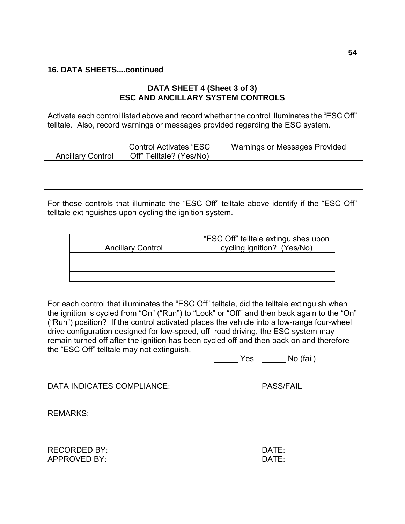# **DATA SHEET 4 (Sheet 3 of 3) ESC AND ANCILLARY SYSTEM CONTROLS**

Activate each control listed above and record whether the control illuminates the "ESC Off" telltale. Also, record warnings or messages provided regarding the ESC system.

| <b>Ancillary Control</b> | <b>Control Activates "ESC</b><br>Off" Telltale? (Yes/No) | <b>Warnings or Messages Provided</b> |
|--------------------------|----------------------------------------------------------|--------------------------------------|
|                          |                                                          |                                      |
|                          |                                                          |                                      |
|                          |                                                          |                                      |

For those controls that illuminate the "ESC Off" telltale above identify if the "ESC Off" telltale extinguishes upon cycling the ignition system.

| <b>Ancillary Control</b> | "ESC Off" telltale extinguishes upon<br>cycling ignition? (Yes/No) |
|--------------------------|--------------------------------------------------------------------|
|                          |                                                                    |
|                          |                                                                    |
|                          |                                                                    |

For each control that illuminates the "ESC Off" telltale, did the telltale extinguish when the ignition is cycled from "On" ("Run") to "Lock" or "Off" and then back again to the "On" ("Run") position? If the control activated places the vehicle into a low-range four-wheel drive configuration designed for low-speed, off–road driving, the ESC system may remain turned off after the ignition has been cycled off and then back on and therefore the "ESC Off" telltale may not extinguish.

Yes \_\_\_\_\_\_\_ No (fail)

DATA INDICATES COMPLIANCE: PASS/FAIL PASS/FAIL

REMARKS:

| <b>RECORDED BY:</b> | <b>DATE</b>  |
|---------------------|--------------|
| <b>APPROVED BY:</b> | <b>DATE:</b> |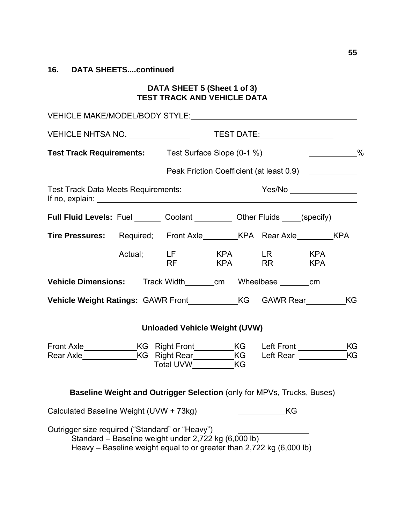#### **DATA SHEET 5 (Sheet 1 of 3) TEST TRACK AND VEHICLE DATA**

| VEHICLE MAKE/MODEL/BODY STYLE: VEHICLE MAKE/MODEL/BODY STYLE:                                                                                                                                                                                                           |  |                                                                                                                              |  |                                  |  |                      |
|-------------------------------------------------------------------------------------------------------------------------------------------------------------------------------------------------------------------------------------------------------------------------|--|------------------------------------------------------------------------------------------------------------------------------|--|----------------------------------|--|----------------------|
|                                                                                                                                                                                                                                                                         |  |                                                                                                                              |  |                                  |  |                      |
| <b>Test Track Requirements:</b> Test Surface Slope (0-1 %)                                                                                                                                                                                                              |  |                                                                                                                              |  |                                  |  | $\sim$ $\sim$ $\sim$ |
|                                                                                                                                                                                                                                                                         |  | Peak Friction Coefficient (at least 0.9)                                                                                     |  |                                  |  |                      |
| Test Track Data Meets Requirements:<br>If no, explain: $\sqrt{a}$ is the set of the set of the set of the set of the set of the set of the set of the set of the set of the set of the set of the set of the set of the set of the set of the set of the set of the set |  |                                                                                                                              |  |                                  |  |                      |
| <b>Full Fluid Levels:</b> Fuel Coolant Coolant Communication Citier Fluids Consective                                                                                                                                                                                   |  |                                                                                                                              |  |                                  |  |                      |
| Tire Pressures: Required; Front Axle_________ KPA Rear Axle_________ KPA                                                                                                                                                                                                |  |                                                                                                                              |  |                                  |  |                      |
|                                                                                                                                                                                                                                                                         |  | Actual; LF_________ KPA LR_________ KPA<br>RF________ KPA RR_________ KPA                                                    |  |                                  |  |                      |
| Vehicle Dimensions: Track Width ______ cm Wheelbase _______ cm                                                                                                                                                                                                          |  |                                                                                                                              |  |                                  |  |                      |
|                                                                                                                                                                                                                                                                         |  |                                                                                                                              |  |                                  |  |                      |
|                                                                                                                                                                                                                                                                         |  | <b>Unloaded Vehicle Weight (UVW)</b>                                                                                         |  |                                  |  |                      |
| Front Axle_______________KG Right Front__________KG Left Front _______________KG<br>Rear Axle _________________KG Right Rear____________KG Left Rear _______________KG                                                                                                  |  | Total UVW____________KG                                                                                                      |  |                                  |  |                      |
|                                                                                                                                                                                                                                                                         |  | Baseline Weight and Outrigger Selection (only for MPVs, Trucks, Buses)                                                       |  |                                  |  |                      |
| Calculated Baseline Weight (UVW + 73kg)                                                                                                                                                                                                                                 |  |                                                                                                                              |  | $\underbrace{\hspace{2.5cm}}$ KG |  |                      |
| Outrigger size required ("Standard" or "Heavy")                                                                                                                                                                                                                         |  | Standard – Baseline weight under 2,722 kg (6,000 lb)<br>Heavy – Baseline weight equal to or greater than 2,722 kg (6,000 lb) |  |                                  |  |                      |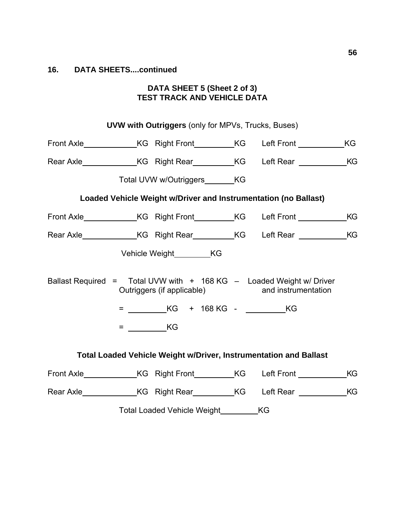#### **DATA SHEET 5 (Sheet 2 of 3) TEST TRACK AND VEHICLE DATA**

| <b>UVW with Outriggers (only for MPVs, Trucks, Buses)</b>                          |        |                                           |  |                                                                          |  |    |
|------------------------------------------------------------------------------------|--------|-------------------------------------------|--|--------------------------------------------------------------------------|--|----|
| Front Axle _______________KG Right Front __________KG Left Front ______________KG  |        |                                           |  |                                                                          |  |    |
| Rear Axle_________________KG_Right Rear___________KG___Left Rear ______________KG  |        |                                           |  |                                                                          |  |    |
|                                                                                    |        | Total UVW w/Outriggers KG                 |  |                                                                          |  |    |
|                                                                                    |        |                                           |  | Loaded Vehicle Weight w/Driver and Instrumentation (no Ballast)          |  |    |
| Front Axle _______________KG Right Front___________KG Left Front _______________KG |        |                                           |  |                                                                          |  |    |
|                                                                                    |        |                                           |  |                                                                          |  |    |
|                                                                                    |        | Vehicle Weight__________KG                |  |                                                                          |  |    |
| Ballast Required = Total UVW with $+$ 168 KG $-$ Loaded Weight w/ Driver           |        | Outriggers (if applicable)                |  | and instrumentation                                                      |  |    |
|                                                                                    |        |                                           |  |                                                                          |  |    |
|                                                                                    | $=$ KG |                                           |  |                                                                          |  |    |
|                                                                                    |        |                                           |  | <b>Total Loaded Vehicle Weight w/Driver, Instrumentation and Ballast</b> |  |    |
| Front Axle _______________KG Right Front __________KG Left Front _______________   |        |                                           |  |                                                                          |  | KG |
| Rear Axle _________________KG Right Rear____________KG Left Rear _______________KG |        |                                           |  |                                                                          |  |    |
|                                                                                    |        | Total Loaded Vehicle Weight____________KG |  |                                                                          |  |    |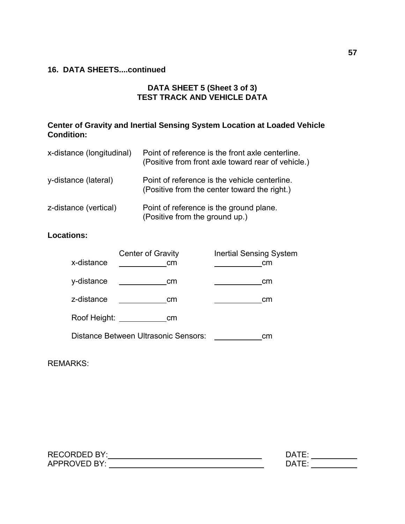# **DATA SHEET 5 (Sheet 3 of 3) TEST TRACK AND VEHICLE DATA**

# **Center of Gravity and Inertial Sensing System Location at Loaded Vehicle Condition:**

| x-distance (longitudinal) | Point of reference is the front axle centerline.<br>(Positive from front axle toward rear of vehicle.) |
|---------------------------|--------------------------------------------------------------------------------------------------------|
| y-distance (lateral)      | Point of reference is the vehicle centerline.<br>(Positive from the center toward the right.)          |
| z-distance (vertical)     | Point of reference is the ground plane.<br>(Positive from the ground up.)                              |

# **Locations:**

| x-distance   | <b>Center of Gravity</b><br>cm       | <b>Inertial Sensing System</b><br>cm |
|--------------|--------------------------------------|--------------------------------------|
| y-distance   | cm                                   | cm                                   |
| z-distance   | cm                                   | cm                                   |
| Roof Height: | cm                                   |                                      |
|              | Distance Between Ultrasonic Sensors: | cm                                   |

REMARKS:

| <b>RECORDED BY:</b>      | ∩∆⊤  |
|--------------------------|------|
| $\bigcap$ VED RY $\cdot$ | ⋂∆⊤⊏ |
| APPR <sub>C</sub>        |      |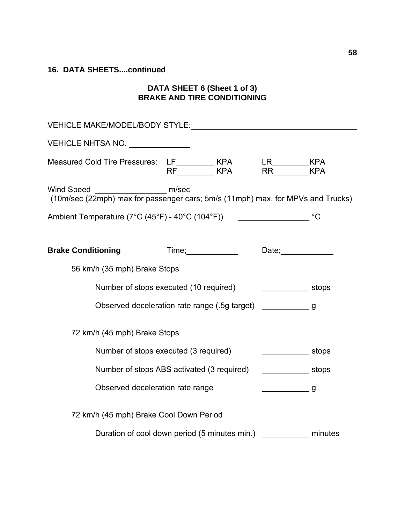#### **DATA SHEET 6 (Sheet 1 of 3) BRAKE AND TIRE CONDITIONING**

| VEHICLE NHTSA NO. ______________                                                             |                              |                                |             |  |  |  |
|----------------------------------------------------------------------------------------------|------------------------------|--------------------------------|-------------|--|--|--|
| Measured Cold Tire Pressures: LF_________ KPA LR________ KPA<br>RF________ KPA RR_______ KPA |                              |                                |             |  |  |  |
|                                                                                              |                              |                                |             |  |  |  |
|                                                                                              |                              |                                |             |  |  |  |
|                                                                                              |                              |                                |             |  |  |  |
| <b>Brake Conditioning</b>                                                                    |                              |                                | Date; Date; |  |  |  |
| 56 km/h (35 mph) Brake Stops                                                                 |                              |                                |             |  |  |  |
| Number of stops executed (10 required)                                                       |                              | $\overline{\phantom{a}}$ stops |             |  |  |  |
| Observed deceleration rate range (.5g target) _______________ g                              |                              |                                |             |  |  |  |
|                                                                                              | 72 km/h (45 mph) Brake Stops |                                |             |  |  |  |
| Number of stops executed (3 required)                                                        |                              |                                | stops stops |  |  |  |
| Number of stops ABS activated (3 required)                                                   |                              |                                | stops       |  |  |  |
| Observed deceleration rate range                                                             |                              |                                |             |  |  |  |
| 72 km/h (45 mph) Brake Cool Down Period                                                      |                              |                                |             |  |  |  |
| Duration of cool down period (5 minutes min.) ___________________________________            |                              |                                |             |  |  |  |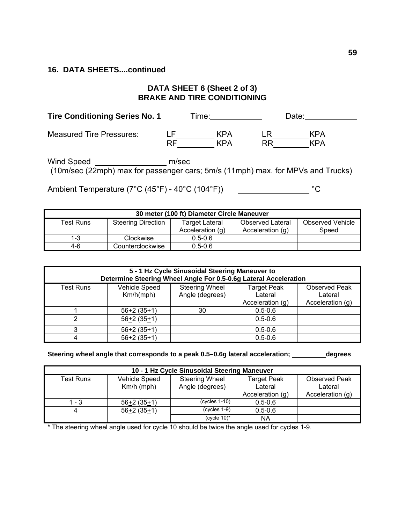# **DATA SHEET 6 (Sheet 2 of 3) BRAKE AND TIRE CONDITIONING**

| <b>Tire Conditioning Series No. 1</b> |           | Time:      |    | Date:      |  |
|---------------------------------------|-----------|------------|----|------------|--|
| <b>Measured Tire Pressures:</b>       | ı ⊢<br>RF | KPA<br>KPA | RR | KPA<br>KPA |  |

Wind Speed **example 20 million** m/sec (10m/sec (22mph) max for passenger cars; 5m/s (11mph) max. for MPVs and Trucks)

Ambient Temperature (7°C (45°F) - 40°C (104°F))  $\hspace{2cm}$ °C

| 30 meter (100 ft) Diameter Circle Maneuver |                           |                  |                         |                         |  |  |
|--------------------------------------------|---------------------------|------------------|-------------------------|-------------------------|--|--|
| Test Runs                                  | <b>Steering Direction</b> | Target Lateral   | <b>Observed Lateral</b> | <b>Observed Vehicle</b> |  |  |
|                                            |                           | Acceleration (g) | Acceleration (g)        | Speed                   |  |  |
| $1-3$                                      | Clockwise                 | $0.5 - 0.6$      |                         |                         |  |  |
| $4-6$                                      | Counterclockwise          | $0.5 - 0.6$      |                         |                         |  |  |

| 5 - 1 Hz Cycle Sinusoidal Steering Maneuver to<br>Determine Steering Wheel Angle For 0.5-0.6g Lateral Acceleration |                                   |                                          |                                                   |                                                     |  |  |
|--------------------------------------------------------------------------------------------------------------------|-----------------------------------|------------------------------------------|---------------------------------------------------|-----------------------------------------------------|--|--|
| <b>Test Runs</b>                                                                                                   | <b>Vehicle Speed</b><br>Km/h(mph) | <b>Steering Wheel</b><br>Angle (degrees) | <b>Target Peak</b><br>Lateral<br>Acceleration (g) | <b>Observed Peak</b><br>Lateral<br>Acceleration (g) |  |  |
|                                                                                                                    | $56+2(35+1)$                      | 30                                       | $0.5 - 0.6$                                       |                                                     |  |  |
| 2                                                                                                                  | $56+2(35+1)$                      |                                          | $0.5 - 0.6$                                       |                                                     |  |  |
| 3                                                                                                                  | $56+2(35+1)$                      |                                          | $0.5 - 0.6$                                       |                                                     |  |  |
| 4                                                                                                                  | $56+2(35+1)$                      |                                          | $0.5 - 0.6$                                       |                                                     |  |  |

Steering wheel angle that corresponds to a peak 0.5-0.6g lateral acceleration; \_\_\_\_\_\_\_\_\_degrees

| 10 - 1 Hz Cycle Sinusoidal Steering Maneuver |                               |                                          |                                                   |                                              |  |  |
|----------------------------------------------|-------------------------------|------------------------------------------|---------------------------------------------------|----------------------------------------------|--|--|
| Test Runs                                    | Vehicle Speed<br>$Km/h$ (mph) | <b>Steering Wheel</b><br>Angle (degrees) | <b>Target Peak</b><br>Lateral<br>Acceleration (g) | Observed Peak<br>Lateral<br>Acceleration (g) |  |  |
| - 3                                          | $56+2(35+1)$                  | $(cycles 1-10)$                          | $0.5 - 0.6$                                       |                                              |  |  |
|                                              | $56+2(35+1)$                  | $(cycles 1-9)$                           | $0.5 - 0.6$                                       |                                              |  |  |
|                                              |                               | (cycle $10$ <sup>*</sup>                 | <b>NA</b>                                         |                                              |  |  |

\* The steering wheel angle used for cycle 10 should be twice the angle used for cycles 1-9.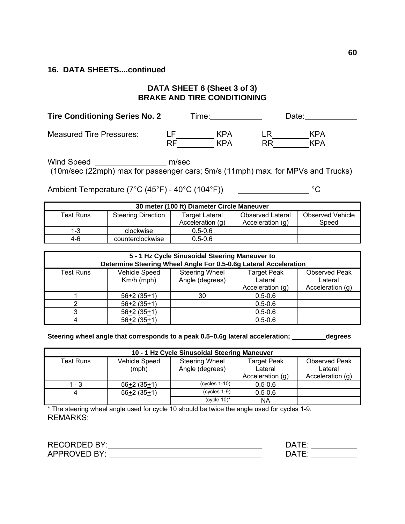# **DATA SHEET 6 (Sheet 3 of 3) BRAKE AND TIRE CONDITIONING**

| <b>Tire Conditioning Series No. 2</b> |          | Time:      |    | Date:      |
|---------------------------------------|----------|------------|----|------------|
| <b>Measured Tire Pressures:</b>       | ΙF<br>RF | KPA<br>KPA | RR | KPA<br>KPA |

Wind Speed **example 20 million** m/sec (10m/sec (22mph) max for passenger cars; 5m/s (11mph) max. for MPVs and Trucks)

Ambient Temperature (7°C (45°F) - 40°C (104°F))  $\qquad \qquad$  °C

| 30 meter (100 ft) Diameter Circle Maneuver |                           |                  |                         |                         |  |  |  |
|--------------------------------------------|---------------------------|------------------|-------------------------|-------------------------|--|--|--|
| <b>Test Runs</b>                           | <b>Steering Direction</b> | Target Lateral   | <b>Observed Lateral</b> | <b>Observed Vehicle</b> |  |  |  |
|                                            |                           | Acceleration (g) | Acceleration (g)        | Speed                   |  |  |  |
| $1 - 3$                                    | clockwise                 | $0.5 - 0.6$      |                         |                         |  |  |  |
| $4-6$                                      | counterclockwise          | $0.5 - 0.6$      |                         |                         |  |  |  |

| 5 - 1 Hz Cycle Sinusoidal Steering Maneuver to<br>Determine Steering Wheel Angle For 0.5-0.6g Lateral Acceleration |               |                       |                    |                      |  |  |
|--------------------------------------------------------------------------------------------------------------------|---------------|-----------------------|--------------------|----------------------|--|--|
| <b>Test Runs</b>                                                                                                   | Vehicle Speed | <b>Steering Wheel</b> | <b>Target Peak</b> | <b>Observed Peak</b> |  |  |
|                                                                                                                    | $Km/h$ (mph)  | Angle (degrees)       | Lateral            | Lateral              |  |  |
|                                                                                                                    |               |                       | Acceleration (g)   | Acceleration (g)     |  |  |
|                                                                                                                    | $56+2(35+1)$  | 30                    | $0.5 - 0.6$        |                      |  |  |
|                                                                                                                    | $56+2(35+1)$  |                       | $0.5 - 0.6$        |                      |  |  |
| ◠                                                                                                                  | $56+2(35+1)$  |                       | $0.5 - 0.6$        |                      |  |  |
| 4                                                                                                                  | $56+2(35+1)$  |                       | $0.5 - 0.6$        |                      |  |  |

**Steering wheel angle that corresponds to a peak 0.5–0.6g lateral acceleration; degrees** 

| 10 - 1 Hz Cycle Sinusoidal Steering Maneuver |                                                                    |                          |                               |                                 |  |  |  |
|----------------------------------------------|--------------------------------------------------------------------|--------------------------|-------------------------------|---------------------------------|--|--|--|
| Test Runs                                    | Vehicle Speed<br><b>Steering Wheel</b><br>(mph)<br>Angle (degrees) |                          | <b>Target Peak</b><br>Lateral | <b>Observed Peak</b><br>Lateral |  |  |  |
|                                              |                                                                    |                          | Acceleration (g)              | Acceleration (g)                |  |  |  |
| 1 - 3                                        | $56+2(35+1)$                                                       | $(cycles 1-10)$          | $0.5 - 0.6$                   |                                 |  |  |  |
| 4                                            | $56+2(35+1)$                                                       | $(cycles 1-9)$           | $0.5 - 0.6$                   |                                 |  |  |  |
|                                              |                                                                    | (cycle $10$ <sup>*</sup> | NA                            |                                 |  |  |  |

\* The steering wheel angle used for cycle 10 should be twice the angle used for cycles 1-9. REMARKS:

| RECORDED BY: | ∆ר   |
|--------------|------|
| APPROVED BY: | ⋂∆⊤ნ |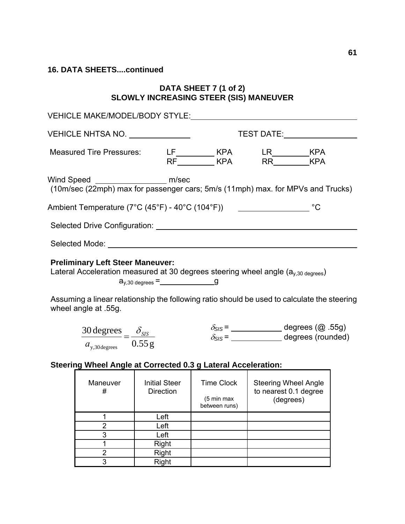## **DATA SHEET 7 (1 of 2) SLOWLY INCREASING STEER (SIS) MANEUVER**

| VEHICLE MAKE/MODEL/BODY STYLE: VEHICLE                                                                                         |                                          |                                           |                                                                                                                                                                                              |  |  |
|--------------------------------------------------------------------------------------------------------------------------------|------------------------------------------|-------------------------------------------|----------------------------------------------------------------------------------------------------------------------------------------------------------------------------------------------|--|--|
| VEHICLE NHTSA NO. _____________                                                                                                |                                          |                                           |                                                                                                                                                                                              |  |  |
|                                                                                                                                |                                          |                                           | Measured Tire Pressures: LF_________ KPA LR________ KPA<br>RF________ KPA RR_______KPA                                                                                                       |  |  |
| Wind Speed _______________________ m/sec                                                                                       |                                          |                                           | (10m/sec (22mph) max for passenger cars; 5m/s (11mph) max. for MPVs and Trucks)                                                                                                              |  |  |
|                                                                                                                                |                                          |                                           | Ambient Temperature ( $7^{\circ}$ C (45 $^{\circ}$ F) - 40 $^{\circ}$ C (104 $^{\circ}$ F)) $\qquad \qquad \qquad$ $\qquad \qquad$ $^{\circ}$ C                                              |  |  |
|                                                                                                                                |                                          |                                           |                                                                                                                                                                                              |  |  |
|                                                                                                                                |                                          |                                           |                                                                                                                                                                                              |  |  |
| <b>Preliminary Left Steer Maneuver:</b><br>wheel angle at .55g.                                                                |                                          |                                           | Lateral Acceleration measured at 30 degrees steering wheel angle $(a_{y,30 \text{ degrees}})$<br>Assuming a linear relationship the following ratio should be used to calculate the steering |  |  |
| $\frac{30 \text{ degrees}}{20 \text{ degrees}} = \frac{\delta_{SIS}}{20 \text{ degrees}}$<br>$a_{y,30 \text{ degrees}}$ 0.55 g |                                          |                                           | $\delta_{SIS} =$ degrees (@ .55g)<br>$\delta_{SIS} =$ degrees (rounded)                                                                                                                      |  |  |
| Steering Wheel Angle at Corrected 0.3 g Lateral Acceleration:                                                                  |                                          |                                           |                                                                                                                                                                                              |  |  |
| Maneuver  <br>#                                                                                                                | <b>Initial Steer</b><br><b>Direction</b> | Time Clock<br>(5 min max<br>between runs) | <b>Steering Wheel Angle</b><br>to nearest 0.1 degree<br>(degrees)                                                                                                                            |  |  |
| 1                                                                                                                              | Left                                     |                                           |                                                                                                                                                                                              |  |  |
| $\overline{2}$                                                                                                                 | Left                                     |                                           |                                                                                                                                                                                              |  |  |
| $\overline{3}$                                                                                                                 | Left                                     |                                           |                                                                                                                                                                                              |  |  |
| 1                                                                                                                              | Right                                    |                                           |                                                                                                                                                                                              |  |  |
| $\overline{\mathbf{c}}$<br>$\overline{3}$                                                                                      | Right<br>Right                           |                                           |                                                                                                                                                                                              |  |  |
|                                                                                                                                |                                          |                                           |                                                                                                                                                                                              |  |  |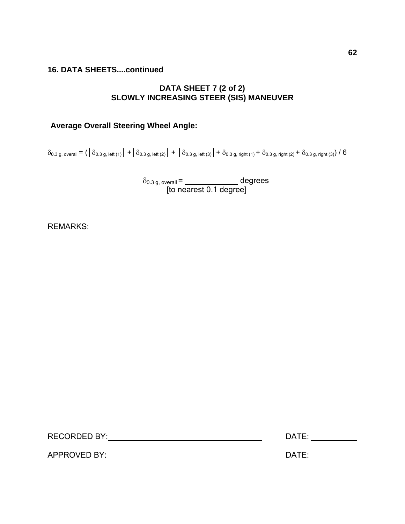# **DATA SHEET 7 (2 of 2) SLOWLY INCREASING STEER (SIS) MANEUVER**

# **Average Overall Steering Wheel Angle:**

 $\delta_{0.3 \text{ g, overall}} = (\begin{vmatrix} \delta_{0.3 \text{ g, left (1)}} | + \delta_{0.3 \text{ g, left (2)}} | + \delta_{0.3 \text{ g, left (3)}} | + \delta_{0.3 \text{ g, right (1)}} + \delta_{0.3 \text{ g, right (2)}} + \delta_{0.3 \text{ g, right (3)}} \end{vmatrix}$ 

 $\delta_{0.3 \text{ g, overall}} = \_\_\_\_\_\_\_\_\_\_\_\_$  degrees **Parameter 12 and 13 and 13 and 13 and 13 and 13 and 14 and 15 and 16 and 16 and 16 and 16 and 16 and 16 and 16 and 16 and 16 and 16 and 16 and 16 and 16 and 16 and 16 and 16 and 16 and 16 and 16 and 16 and 16 and 16 and 1** 

REMARKS:

| <b>RECORDED BY:</b> | DATE: |
|---------------------|-------|
|                     |       |
| <b>APPROVED BY:</b> | DATE: |
|                     |       |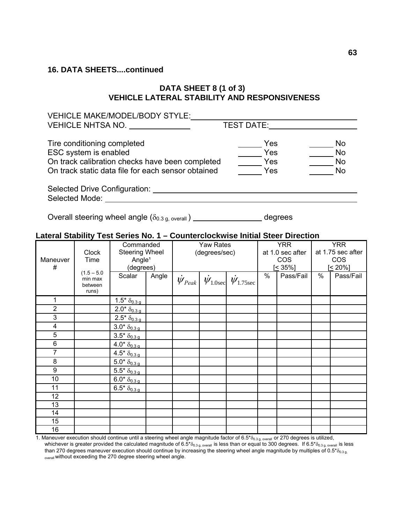# **DATA SHEET 8 (1 of 3) VEHICLE LATERAL STABILITY AND RESPONSIVENESS**

| <b>VEHICLE MAKE/MODEL/BODY STYLE:</b>                       |                   |                |
|-------------------------------------------------------------|-------------------|----------------|
| VEHICLE NHTSA NO.                                           | <b>TEST DATE:</b> |                |
| Tire conditioning completed                                 | Yes               | <b>No</b>      |
|                                                             |                   |                |
| ESC system is enabled                                       | Yes               | <b>No</b>      |
| On track calibration checks have been completed             | Yes               | <b>No</b>      |
| On track static data file for each sensor obtained          | Yes               | N <sub>0</sub> |
|                                                             |                   |                |
| Selected Drive Configuration: Selected Drive Configuration: |                   |                |
| Selected Mode:                                              |                   |                |

Overall steering wheel angle  $(\delta_{0.3 \text{ g, overall}})$  \_\_\_\_\_\_\_\_\_\_\_\_\_\_\_\_\_\_\_\_\_ degrees

# **Lateral Stability Test Series No. 1 – Counterclockwise Initial Steer Direction**

| Maneuver<br>#           | <b>Clock</b><br>Time<br>$(1.5 - 5.0)$<br>min max<br>between | Commanded<br><b>Steering Wheel</b><br>Angle <sup>1</sup><br>(degrees)<br>Scalar | Angle | <b>Yaw Rates</b><br>(degrees/sec) | $\dot{\psi}_{Peak}$ $\dot{\psi}_{1.0sec}$ $\dot{\psi}_{1.75sec}$ | $\%$ | <b>YRR</b><br>at 1.0 sec after<br><b>COS</b><br>$[≤ 35\%]$<br>Pass/Fail | $\%$ | <b>YRR</b><br>at 1.75 sec after<br><b>COS</b><br>$5 \leq 20\%$<br>Pass/Fail |
|-------------------------|-------------------------------------------------------------|---------------------------------------------------------------------------------|-------|-----------------------------------|------------------------------------------------------------------|------|-------------------------------------------------------------------------|------|-----------------------------------------------------------------------------|
|                         | runs)                                                       |                                                                                 |       |                                   |                                                                  |      |                                                                         |      |                                                                             |
| 1                       |                                                             | $1.5* \delta_{0.3 \, g}$                                                        |       |                                   |                                                                  |      |                                                                         |      |                                                                             |
| $\overline{2}$          |                                                             | $2.0* \delta_{0.3 \, q}$                                                        |       |                                   |                                                                  |      |                                                                         |      |                                                                             |
| 3                       |                                                             | $2.5* \delta_{0.3 \, g}$                                                        |       |                                   |                                                                  |      |                                                                         |      |                                                                             |
| $\overline{\mathbf{4}}$ |                                                             | $3.0* \delta_{0.3 \, g}$                                                        |       |                                   |                                                                  |      |                                                                         |      |                                                                             |
| 5                       |                                                             | $3.5* \delta_{0.3 \, q}$                                                        |       |                                   |                                                                  |      |                                                                         |      |                                                                             |
| $\,6\,$                 |                                                             | $4.0* \delta_{0.3 \, g}$                                                        |       |                                   |                                                                  |      |                                                                         |      |                                                                             |
| $\overline{7}$          |                                                             | $4.5* \delta_{0.3 \, g}$                                                        |       |                                   |                                                                  |      |                                                                         |      |                                                                             |
| 8                       |                                                             | $5.0* \frac{8}{0.3}g$                                                           |       |                                   |                                                                  |      |                                                                         |      |                                                                             |
| 9                       |                                                             | $5.5* \delta_{0.3 \, g}$                                                        |       |                                   |                                                                  |      |                                                                         |      |                                                                             |
| 10                      |                                                             | $6.0* \delta_{0.3 \, q}$                                                        |       |                                   |                                                                  |      |                                                                         |      |                                                                             |
| 11                      |                                                             | $6.5* \delta_{0.3 \, q}$                                                        |       |                                   |                                                                  |      |                                                                         |      |                                                                             |
| 12                      |                                                             |                                                                                 |       |                                   |                                                                  |      |                                                                         |      |                                                                             |
| 13                      |                                                             |                                                                                 |       |                                   |                                                                  |      |                                                                         |      |                                                                             |
| 14                      |                                                             |                                                                                 |       |                                   |                                                                  |      |                                                                         |      |                                                                             |
| 15                      |                                                             |                                                                                 |       |                                   |                                                                  |      |                                                                         |      |                                                                             |
| 16                      |                                                             |                                                                                 |       |                                   |                                                                  |      |                                                                         |      |                                                                             |

1. Maneuver execution should continue until a steering wheel angle magnitude factor of 6.5\* $\delta_{0.3 \text{ g, overall}}$  or 270 degrees is utilized, whichever is greater provided the calculated magnitude of 6.5\* $\delta_{0.3 \text{ g}}$ , overall is less than or equal to 300 degrees. If 6.5\* $\delta_{0.3 \text{ g}}$ , overall is less than 270 degrees maneuver execution should continue by increasing the steering wheel angle magnitude by multiples of 0.5\* $\delta_{0.3 q}$ overall without exceeding the 270 degree steering wheel angle.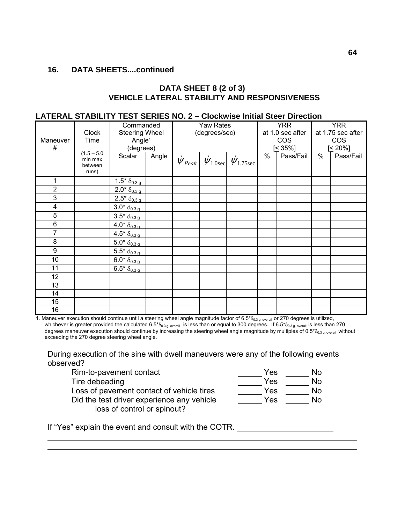#### **DATA SHEET 8 (2 of 3) VEHICLE LATERAL STABILITY AND RESPONSIVENESS**

#### **LATERAL STABILITY TEST SERIES NO. 2 – Clockwise Initial Steer Direction**

|                         |               | Commanded                                          |       |                         | Yaw Rates     |                                                                |   | <b>YRR</b>       |      | <b>YRR</b>        |
|-------------------------|---------------|----------------------------------------------------|-------|-------------------------|---------------|----------------------------------------------------------------|---|------------------|------|-------------------|
|                         | <b>Clock</b>  | <b>Steering Wheel</b>                              |       |                         | (degrees/sec) |                                                                |   | at 1.0 sec after |      | at 1.75 sec after |
| Maneuver                | Time          | Angle <sup>1</sup>                                 |       |                         |               |                                                                |   | <b>COS</b>       |      | <b>COS</b>        |
| #                       | $(1.5 - 5.0)$ | (degrees)                                          |       |                         |               |                                                                |   | $[5 - 35\%]$     |      | $[< 20\%]$        |
|                         | min max       | Scalar                                             | Angle | $\dot{\psi}_{\it Peak}$ |               | $\dot{\psi}_{1.0\mathrm{sec}}$ $\dot{\psi}_{1.75\mathrm{sec}}$ | % | Pass/Fail        | $\%$ | Pass/Fail         |
|                         | between       |                                                    |       |                         |               |                                                                |   |                  |      |                   |
|                         | runs)         |                                                    |       |                         |               |                                                                |   |                  |      |                   |
| 1                       |               | $1.5* \delta_{0.3 \, q}$                           |       |                         |               |                                                                |   |                  |      |                   |
| $\overline{2}$          |               | $2.0* \frac{\delta_{0.3 \, g}}{\delta_{0.3 \, g}}$ |       |                         |               |                                                                |   |                  |      |                   |
| 3                       |               | $2.5* \delta_{0.3 \, g}$                           |       |                         |               |                                                                |   |                  |      |                   |
| $\overline{\mathbf{4}}$ |               | $3.0* \delta_{0.3 \, q}$                           |       |                         |               |                                                                |   |                  |      |                   |
| 5                       |               | $3.5* \delta_{0.3 \, g}$                           |       |                         |               |                                                                |   |                  |      |                   |
| $\,6$                   |               | $4.0* \delta_{0.3 \, q}$                           |       |                         |               |                                                                |   |                  |      |                   |
| 7                       |               | $4.5* \delta_{0.3 \, g}$                           |       |                         |               |                                                                |   |                  |      |                   |
| 8                       |               | $5.0* \delta_{0.3 \, g}$                           |       |                         |               |                                                                |   |                  |      |                   |
| 9                       |               | $5.5* \delta_{0.3 \, q}$                           |       |                         |               |                                                                |   |                  |      |                   |
| 10                      |               | $6.0* \frac{\delta_{0.3 \, g}}{\delta_{0.3 \, g}}$ |       |                         |               |                                                                |   |                  |      |                   |
| 11                      |               | $6.5* \frac{\delta_{0.3 \, g}}{0.3 \, g}$          |       |                         |               |                                                                |   |                  |      |                   |
| 12                      |               |                                                    |       |                         |               |                                                                |   |                  |      |                   |
| 13                      |               |                                                    |       |                         |               |                                                                |   |                  |      |                   |
| 14                      |               |                                                    |       |                         |               |                                                                |   |                  |      |                   |
| 15                      |               |                                                    |       |                         |               |                                                                |   |                  |      |                   |
| 16                      |               |                                                    |       |                         |               |                                                                |   |                  |      |                   |

1. Maneuver execution should continue until a steering wheel angle magnitude factor of 6.5\*δ<sub>0.3 g, overall</sub> or 270 degrees is utilized, whichever is greater provided the calculated 6.5\* $\delta_{0.3 g, overall}$  is less than or equal to 300 degrees. If 6.5\* $\delta_{0.3 g, overall}$  is less than 270 degrees maneuver execution should continue by increasing the steering wheel angle magnitude by multiples of 0.5\*δ0.3 g, overall without exceeding the 270 degree steering wheel angle.

During execution of the sine with dwell maneuvers were any of the following events observed?

| Rim-to-pavement contact                    | Yes | No.       |
|--------------------------------------------|-----|-----------|
| Tire debeading                             | Yes | <b>No</b> |
| Loss of pavement contact of vehicle tires  | Yes | No.       |
| Did the test driver experience any vehicle | Yes | <b>No</b> |
| loss of control or spinout?                |     |           |

If "Yes" explain the event and consult with the COTR.

 $\overline{a}$  $\overline{a}$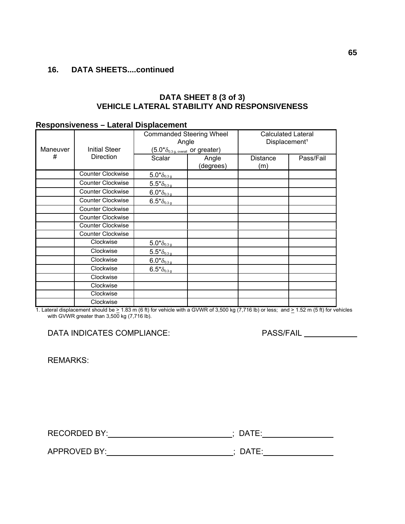# **DATA SHEET 8 (3 of 3) VEHICLE LATERAL STABILITY AND RESPONSIVENESS**

#### **Responsiveness – Lateral Displacement**

|          |                          | <b>Commanded Steering Wheel</b><br>Angle                    |                    | <b>Calculated Lateral</b><br>Displacement <sup>1</sup> |           |
|----------|--------------------------|-------------------------------------------------------------|--------------------|--------------------------------------------------------|-----------|
| Maneuver | <b>Initial Steer</b>     | $(5.0^*\delta_{0.3 \text{ g, overall}} \text{ or greater})$ |                    |                                                        |           |
| #        | <b>Direction</b>         | Scalar                                                      | Angle<br>(degrees) | <b>Distance</b><br>(m)                                 | Pass/Fail |
|          | <b>Counter Clockwise</b> | $5.0* \delta_{\underline{0.3g}}$                            |                    |                                                        |           |
|          | <b>Counter Clockwise</b> | $5.5\mbox{^{\star}}\delta_{\underline{0.3\,g}}$             |                    |                                                        |           |
|          | <b>Counter Clockwise</b> | $6.0*_{\underline{0.3g}}$                                   |                    |                                                        |           |
|          | <b>Counter Clockwise</b> | $6.5^{*}\delta_{0.3g}$                                      |                    |                                                        |           |
|          | Counter Clockwise        |                                                             |                    |                                                        |           |
|          | Counter Clockwise        |                                                             |                    |                                                        |           |
|          | Counter Clockwise        |                                                             |                    |                                                        |           |
|          | <b>Counter Clockwise</b> |                                                             |                    |                                                        |           |
|          | Clockwise                | $5.0*_{\underline{0.3g}}$                                   |                    |                                                        |           |
|          | Clockwise                | $5.5* \delta_{\underline{0.3g}}$                            |                    |                                                        |           |
|          | Clockwise                | $6.0^{*}\delta_{0.3g}$                                      |                    |                                                        |           |
|          | Clockwise                | $6.5*_{\delta_{0.3g}}$                                      |                    |                                                        |           |
|          | Clockwise                |                                                             |                    |                                                        |           |
|          | Clockwise                |                                                             |                    |                                                        |           |
|          | Clockwise                |                                                             |                    |                                                        |           |
|          | Clockwise                |                                                             |                    |                                                        |           |

1. Lateral displacement should be  $\geq 1.83$  m (6 ft) for vehicle with a GVWR of 3,500 kg (7,716 lb) or less; and  $\geq 1.52$  m (5 ft) for vehicles with GVWR greater than 3,500 kg (7,716 lb).

# DATA INDICATES COMPLIANCE: PASS/FAIL

REMARKS:

RECORDED BY:\_\_\_\_\_\_\_\_\_\_\_\_\_\_\_\_\_\_\_\_\_\_\_\_\_\_\_\_\_\_\_\_\_; DATE:\_\_\_\_\_\_\_\_\_\_\_\_\_\_\_\_\_\_\_\_\_\_\_\_\_\_\_\_

APPROVED BY: ; DATE: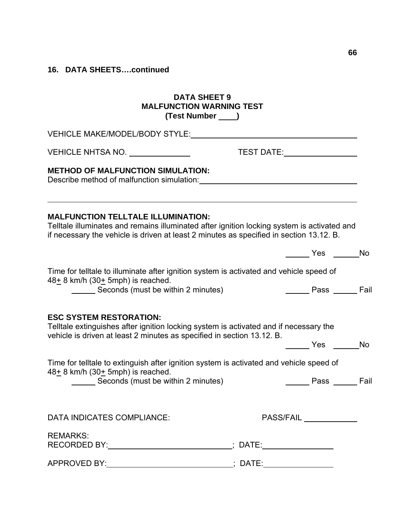# **DATA SHEET 9 MALFUNCTION WARNING TEST (Test Number )**

| VEHICLE MAKE/MODEL/BODY STYLE: VEHICLE MAKE/MODEL/BODY STYLE:                                                                                                                                     |                                                                                             |  |
|---------------------------------------------------------------------------------------------------------------------------------------------------------------------------------------------------|---------------------------------------------------------------------------------------------|--|
|                                                                                                                                                                                                   |                                                                                             |  |
| <b>METHOD OF MALFUNCTION SIMULATION:</b><br>Describe method of malfunction simulation: Describe method of malfunction simulation:                                                                 |                                                                                             |  |
| <b>MALFUNCTION TELLTALE ILLUMINATION:</b><br>if necessary the vehicle is driven at least 2 minutes as specified in section 13.12. B.                                                              | Telltale illuminates and remains illuminated after ignition locking system is activated and |  |
|                                                                                                                                                                                                   | Yes No                                                                                      |  |
| Time for telltale to illuminate after ignition system is activated and vehicle speed of<br>$48+8$ km/h (30 $\pm$ 5mph) is reached.                                                                |                                                                                             |  |
| Seconds (must be within 2 minutes)                                                                                                                                                                | <b>No. 2. Example 3</b> Pass <b>Legation</b>                                                |  |
| <b>ESC SYSTEM RESTORATION:</b><br>Telltale extinguishes after ignition locking system is activated and if necessary the<br>vehicle is driven at least 2 minutes as specified in section 13.12. B. |                                                                                             |  |
|                                                                                                                                                                                                   | <b>Example Struck</b> Press No                                                              |  |
| Time for telltale to extinguish after ignition system is activated and vehicle speed of<br>$48+$ 8 km/h (30 $+$ 5mph) is reached.                                                                 |                                                                                             |  |
| Seconds (must be within 2 minutes)                                                                                                                                                                | <b>Nass</b> Fail                                                                            |  |
|                                                                                                                                                                                                   |                                                                                             |  |
| DATA INDICATES COMPLIANCE:                                                                                                                                                                        | PASS/FAIL ____________                                                                      |  |
| <b>REMARKS:</b><br>RECORDED BY: _______________________________; DATE:_____________________________                                                                                               |                                                                                             |  |
| <b>APPROVED BY:</b>                                                                                                                                                                               | ___________________; DATE:_                                                                 |  |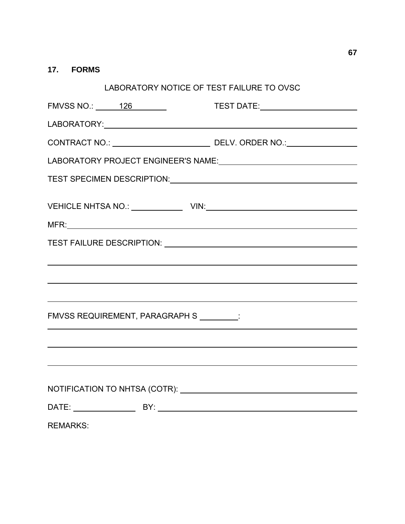# **17. FORMS**

| LABORATORY NOTICE OF TEST FAILURE TO OVSC                                                                                                       |  |  |  |  |  |  |  |
|-------------------------------------------------------------------------------------------------------------------------------------------------|--|--|--|--|--|--|--|
| FMVSS NO.: 126                                                                                                                                  |  |  |  |  |  |  |  |
|                                                                                                                                                 |  |  |  |  |  |  |  |
|                                                                                                                                                 |  |  |  |  |  |  |  |
|                                                                                                                                                 |  |  |  |  |  |  |  |
| TEST SPECIMEN DESCRIPTION: VALUE AND THE SPECIMENT DESCRIPTION:                                                                                 |  |  |  |  |  |  |  |
|                                                                                                                                                 |  |  |  |  |  |  |  |
|                                                                                                                                                 |  |  |  |  |  |  |  |
|                                                                                                                                                 |  |  |  |  |  |  |  |
|                                                                                                                                                 |  |  |  |  |  |  |  |
| ,我们也不能在这里的时候,我们也不能在这里的时候,我们也不能会不能会不能会不能会不能会不能会不能会不能会不能会不能会。<br>第2012章 我们的时候,我们的时候,我们的时候,我们的时候,我们的时候,我们的时候,我们的时候,我们的时候,我们的时候,我们的时候,我们的时候,我们的时候,我 |  |  |  |  |  |  |  |
|                                                                                                                                                 |  |  |  |  |  |  |  |
| FMVSS REQUIREMENT, PARAGRAPH S ________:                                                                                                        |  |  |  |  |  |  |  |
|                                                                                                                                                 |  |  |  |  |  |  |  |
|                                                                                                                                                 |  |  |  |  |  |  |  |
|                                                                                                                                                 |  |  |  |  |  |  |  |
|                                                                                                                                                 |  |  |  |  |  |  |  |
|                                                                                                                                                 |  |  |  |  |  |  |  |
| <b>REMARKS:</b>                                                                                                                                 |  |  |  |  |  |  |  |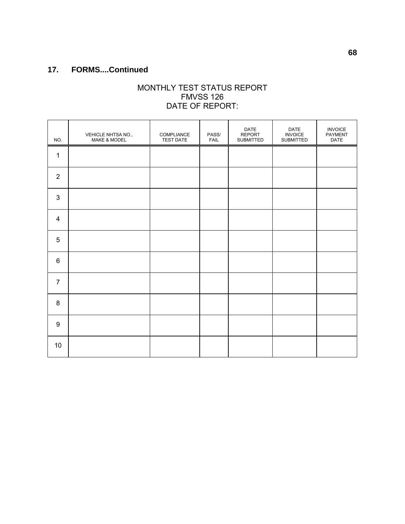# **17. FORMS....Continued**

## MONTHLY TEST STATUS REPORT FMVSS 126 DATE OF REPORT:

| NO.              | VEHICLE NHTSA NO.,<br>MAKE & MODEL | COMPLIANCE<br><b>TEST DATE</b> | PASS/<br>FAIL | DATE<br><b>REPORT</b><br>SUBMITTED | DATE<br><b>INVOICE</b><br>SUBMITTED | <b>INVOICE</b><br>PAYMENT<br>DATE |
|------------------|------------------------------------|--------------------------------|---------------|------------------------------------|-------------------------------------|-----------------------------------|
| 1                |                                    |                                |               |                                    |                                     |                                   |
| $\sqrt{2}$       |                                    |                                |               |                                    |                                     |                                   |
| $\mathfrak{B}$   |                                    |                                |               |                                    |                                     |                                   |
| 4                |                                    |                                |               |                                    |                                     |                                   |
| $\sqrt{5}$       |                                    |                                |               |                                    |                                     |                                   |
| $\,6$            |                                    |                                |               |                                    |                                     |                                   |
| $\overline{7}$   |                                    |                                |               |                                    |                                     |                                   |
| 8                |                                    |                                |               |                                    |                                     |                                   |
| $\boldsymbol{9}$ |                                    |                                |               |                                    |                                     |                                   |
| 10               |                                    |                                |               |                                    |                                     |                                   |